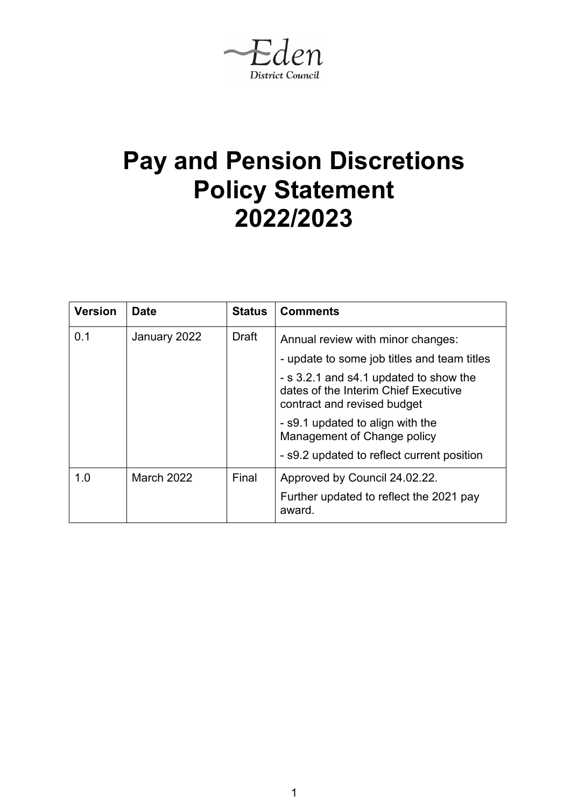Eden **District Council** 

# **Pay and Pension Discretions Policy Statement 2022/2023**

| <b>Version</b> | <b>Date</b>       | <b>Status</b> | <b>Comments</b>                                                                                               |  |
|----------------|-------------------|---------------|---------------------------------------------------------------------------------------------------------------|--|
| 0.1            | January 2022      | <b>Draft</b>  | Annual review with minor changes:                                                                             |  |
|                |                   |               | - update to some job titles and team titles                                                                   |  |
|                |                   |               | - s 3.2.1 and s4.1 updated to show the<br>dates of the Interim Chief Executive<br>contract and revised budget |  |
|                |                   |               | - s9.1 updated to align with the<br>Management of Change policy                                               |  |
|                |                   |               | - s9.2 updated to reflect current position                                                                    |  |
| 1.0            | <b>March 2022</b> | Final         | Approved by Council 24.02.22.                                                                                 |  |
|                |                   |               | Further updated to reflect the 2021 pay<br>award.                                                             |  |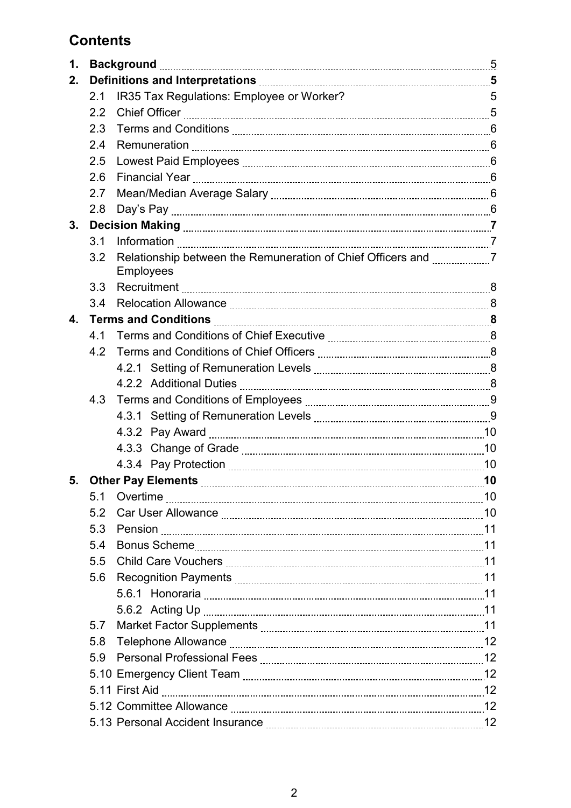# **Contents**

| 1. |     |                                           |   |
|----|-----|-------------------------------------------|---|
| 2. |     |                                           |   |
|    | 2.1 | IR35 Tax Regulations: Employee or Worker? | 5 |
|    | 2.2 |                                           |   |
|    | 2.3 |                                           |   |
|    | 2.4 |                                           |   |
|    | 2.5 |                                           |   |
|    | 2.6 |                                           |   |
|    | 2.7 |                                           |   |
|    | 2.8 |                                           |   |
| 3. |     |                                           |   |
|    | 3.1 |                                           |   |
|    | 3.2 | <b>Employees</b>                          |   |
|    | 3.3 |                                           |   |
|    | 3.4 |                                           |   |
| 4. |     |                                           |   |
|    | 4.1 |                                           |   |
|    | 4.2 |                                           |   |
|    |     |                                           |   |
|    |     |                                           |   |
|    | 4.3 |                                           |   |
|    |     |                                           |   |
|    |     |                                           |   |
|    |     |                                           |   |
|    |     |                                           |   |
| 5. |     |                                           |   |
|    | 5.1 |                                           |   |
|    | 5.2 |                                           |   |
|    | 5.3 |                                           |   |
|    | 5.4 |                                           |   |
|    | 5.5 |                                           |   |
|    | 5.6 |                                           |   |
|    |     |                                           |   |
|    |     |                                           |   |
|    | 5.7 |                                           |   |
|    | 5.8 |                                           |   |
|    | 5.9 |                                           |   |
|    |     |                                           |   |
|    |     |                                           |   |
|    |     |                                           |   |
|    |     |                                           |   |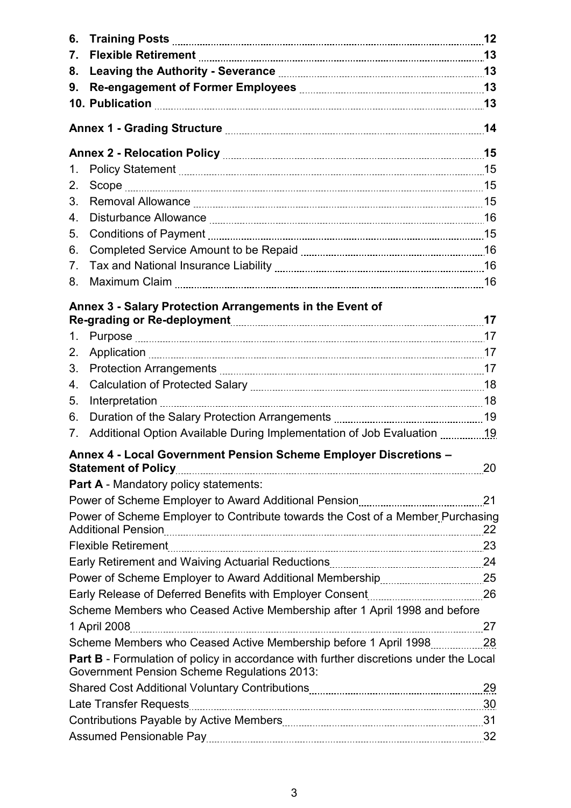| 6.             |                                                                                                                                                    |  |
|----------------|----------------------------------------------------------------------------------------------------------------------------------------------------|--|
| 7.             |                                                                                                                                                    |  |
| 8.             |                                                                                                                                                    |  |
| 9.             |                                                                                                                                                    |  |
|                |                                                                                                                                                    |  |
|                |                                                                                                                                                    |  |
|                |                                                                                                                                                    |  |
| 1.             |                                                                                                                                                    |  |
| 2.             |                                                                                                                                                    |  |
| 3.             |                                                                                                                                                    |  |
| 4.             |                                                                                                                                                    |  |
| 5.             |                                                                                                                                                    |  |
| 6.             |                                                                                                                                                    |  |
| 7 <sub>1</sub> |                                                                                                                                                    |  |
| 8.             |                                                                                                                                                    |  |
|                | Annex 3 - Salary Protection Arrangements in the Event of                                                                                           |  |
|                |                                                                                                                                                    |  |
| 1.             |                                                                                                                                                    |  |
| 2.             |                                                                                                                                                    |  |
| 3.             |                                                                                                                                                    |  |
| 4.             |                                                                                                                                                    |  |
| 5.             |                                                                                                                                                    |  |
| 6.             |                                                                                                                                                    |  |
| $7_{\cdot}$    | Additional Option Available During Implementation of Job Evaluation 19                                                                             |  |
|                | Annex 4 - Local Government Pension Scheme Employer Discretions -                                                                                   |  |
|                | <b>Part A</b> - Mandatory policy statements:                                                                                                       |  |
|                |                                                                                                                                                    |  |
|                | Power of Scheme Employer to Contribute towards the Cost of a Member Purchasing                                                                     |  |
|                |                                                                                                                                                    |  |
|                |                                                                                                                                                    |  |
|                |                                                                                                                                                    |  |
|                |                                                                                                                                                    |  |
|                | Scheme Members who Ceased Active Membership after 1 April 1998 and before                                                                          |  |
|                |                                                                                                                                                    |  |
|                |                                                                                                                                                    |  |
|                | <b>Part B</b> - Formulation of policy in accordance with further discretions under the Local<br><b>Government Pension Scheme Regulations 2013:</b> |  |
|                |                                                                                                                                                    |  |
|                |                                                                                                                                                    |  |
|                |                                                                                                                                                    |  |
|                |                                                                                                                                                    |  |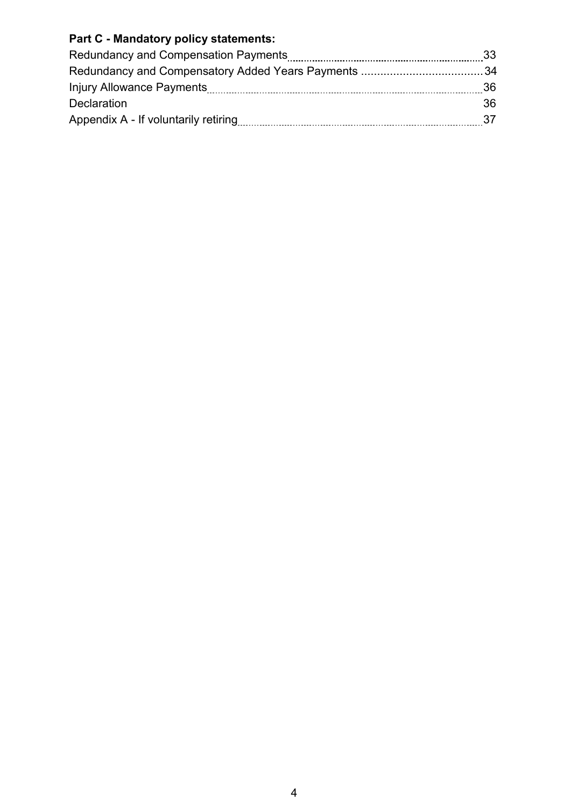# **Part C - Mandatory policy statements:**

|                                      | - 33 |
|--------------------------------------|------|
|                                      |      |
|                                      | - 36 |
| <b>Declaration</b>                   | 36.  |
| Appendix A - If voluntarily retiring | -37  |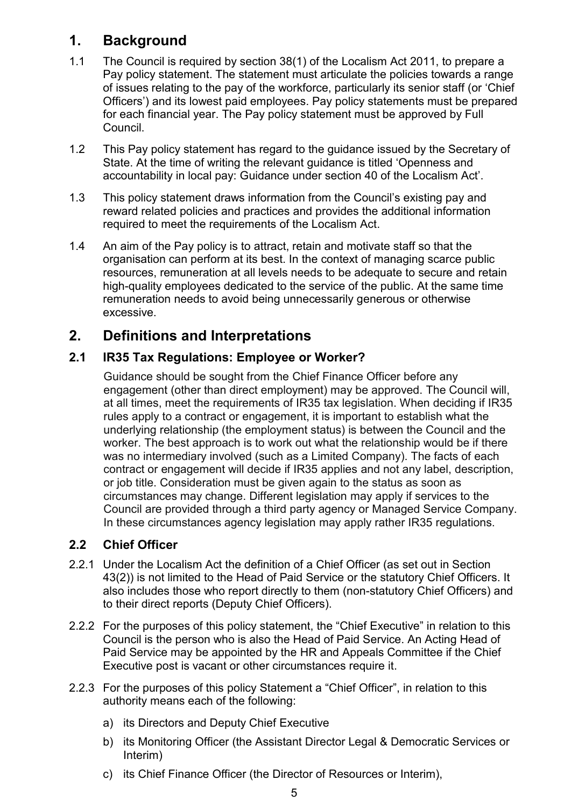# **1. Background**

- 1.1 The Council is required by section 38(1) of the Localism Act 2011, to prepare a Pay policy statement. The statement must articulate the policies towards a range of issues relating to the pay of the workforce, particularly its senior staff (or 'Chief Officers') and its lowest paid employees. Pay policy statements must be prepared for each financial year. The Pay policy statement must be approved by Full Council.
- 1.2 This Pay policy statement has regard to the guidance issued by the Secretary of State. At the time of writing the relevant guidance is titled 'Openness and accountability in local pay: Guidance under section 40 of the Localism Act'.
- 1.3 This policy statement draws information from the Council's existing pay and reward related policies and practices and provides the additional information required to meet the requirements of the Localism Act.
- 1.4 An aim of the Pay policy is to attract, retain and motivate staff so that the organisation can perform at its best. In the context of managing scarce public resources, remuneration at all levels needs to be adequate to secure and retain high-quality employees dedicated to the service of the public. At the same time remuneration needs to avoid being unnecessarily generous or otherwise excessive.

# **2. Definitions and Interpretations**

# **2.1 IR35 Tax Regulations: Employee or Worker?**

Guidance should be sought from the Chief Finance Officer before any engagement (other than direct employment) may be approved. The Council will, at all times, meet the requirements of IR35 tax legislation. When deciding if IR35 rules apply to a contract or engagement, it is important to establish what the underlying relationship (the employment status) is between the Council and the worker. The best approach is to work out what the relationship would be if there was no intermediary involved (such as a Limited Company). The facts of each contract or engagement will decide if IR35 applies and not any label, description, or job title. Consideration must be given again to the status as soon as circumstances may change. Different legislation may apply if services to the Council are provided through a third party agency or Managed Service Company. In these circumstances agency legislation may apply rather IR35 regulations.

# **2.2 Chief Officer**

- 2.2.1 Under the Localism Act the definition of a Chief Officer (as set out in Section 43(2)) is not limited to the Head of Paid Service or the statutory Chief Officers. It also includes those who report directly to them (non-statutory Chief Officers) and to their direct reports (Deputy Chief Officers).
- 2.2.2 For the purposes of this policy statement, the "Chief Executive" in relation to this Council is the person who is also the Head of Paid Service. An Acting Head of Paid Service may be appointed by the HR and Appeals Committee if the Chief Executive post is vacant or other circumstances require it.
- 2.2.3 For the purposes of this policy Statement a "Chief Officer", in relation to this authority means each of the following:
	- a) its Directors and Deputy Chief Executive
	- b) its Monitoring Officer (the Assistant Director Legal & Democratic Services or Interim)
	- c) its Chief Finance Officer (the Director of Resources or Interim),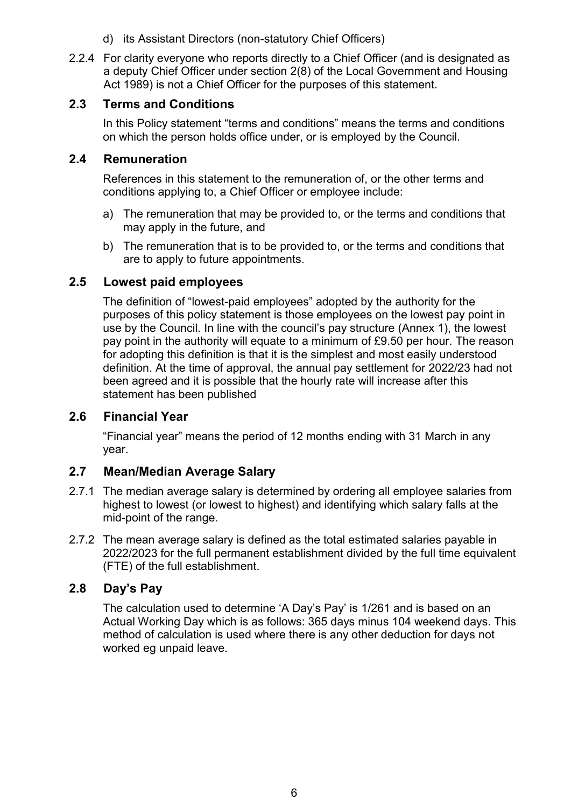- d) its Assistant Directors (non-statutory Chief Officers)
- 2.2.4 For clarity everyone who reports directly to a Chief Officer (and is designated as a deputy Chief Officer under section 2(8) of the Local Government and Housing Act 1989) is not a Chief Officer for the purposes of this statement.

### **2.3 Terms and Conditions**

In this Policy statement "terms and conditions" means the terms and conditions on which the person holds office under, or is employed by the Council.

### **2.4 Remuneration**

References in this statement to the remuneration of, or the other terms and conditions applying to, a Chief Officer or employee include:

- a) The remuneration that may be provided to, or the terms and conditions that may apply in the future, and
- b) The remuneration that is to be provided to, or the terms and conditions that are to apply to future appointments.

### **2.5 Lowest paid employees**

The definition of "lowest-paid employees" adopted by the authority for the purposes of this policy statement is those employees on the lowest pay point in use by the Council. In line with the council's pay structure (Annex 1), the lowest pay point in the authority will equate to a minimum of £9.50 per hour. The reason for adopting this definition is that it is the simplest and most easily understood definition. At the time of approval, the annual pay settlement for 2022/23 had not been agreed and it is possible that the hourly rate will increase after this statement has been published

### **2.6 Financial Year**

"Financial year" means the period of 12 months ending with 31 March in any year.

### **2.7 Mean/Median Average Salary**

- 2.7.1 The median average salary is determined by ordering all employee salaries from highest to lowest (or lowest to highest) and identifying which salary falls at the mid-point of the range.
- 2.7.2 The mean average salary is defined as the total estimated salaries payable in 2022/2023 for the full permanent establishment divided by the full time equivalent (FTE) of the full establishment.

### **2.8 Day's Pay**

The calculation used to determine 'A Day's Pay' is 1/261 and is based on an Actual Working Day which is as follows: 365 days minus 104 weekend days. This method of calculation is used where there is any other deduction for days not worked eg unpaid leave.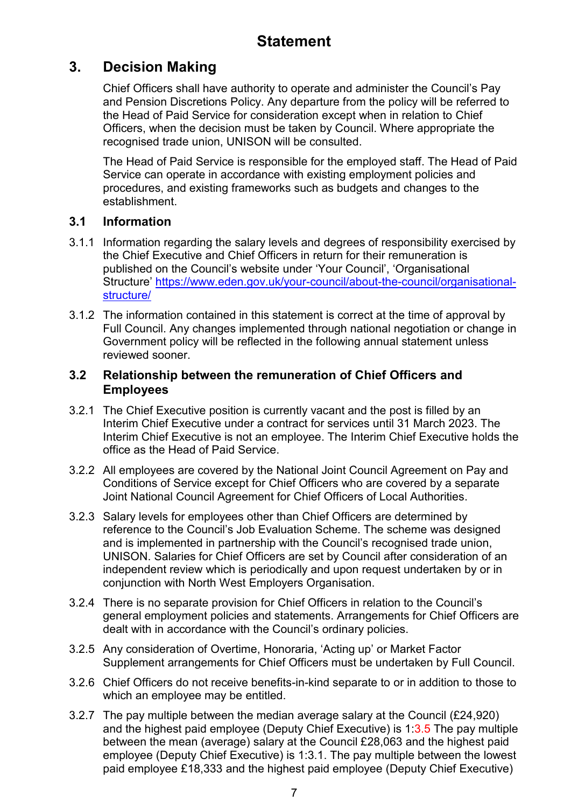# **3. Decision Making**

Chief Officers shall have authority to operate and administer the Council's Pay and Pension Discretions Policy. Any departure from the policy will be referred to the Head of Paid Service for consideration except when in relation to Chief Officers, when the decision must be taken by Council. Where appropriate the recognised trade union, UNISON will be consulted.

The Head of Paid Service is responsible for the employed staff. The Head of Paid Service can operate in accordance with existing employment policies and procedures, and existing frameworks such as budgets and changes to the establishment.

# **3.1 Information**

- 3.1.1 Information regarding the salary levels and degrees of responsibility exercised by the Chief Executive and Chief Officers in return for their remuneration is published on the Council's website under 'Your Council', 'Organisational Structure' [https://www.eden.gov.uk/your-council/about-the-council/organisational](https://www.eden.gov.uk/your-council/about-the-council/organisational-structure/)[structure/](https://www.eden.gov.uk/your-council/about-the-council/organisational-structure/)
- 3.1.2 The information contained in this statement is correct at the time of approval by Full Council. Any changes implemented through national negotiation or change in Government policy will be reflected in the following annual statement unless reviewed sooner.

### **3.2 Relationship between the remuneration of Chief Officers and Employees**

- 3.2.1 The Chief Executive position is currently vacant and the post is filled by an Interim Chief Executive under a contract for services until 31 March 2023. The Interim Chief Executive is not an employee. The Interim Chief Executive holds the office as the Head of Paid Service.
- 3.2.2 All employees are covered by the National Joint Council Agreement on Pay and Conditions of Service except for Chief Officers who are covered by a separate Joint National Council Agreement for Chief Officers of Local Authorities.
- 3.2.3 Salary levels for employees other than Chief Officers are determined by reference to the Council's Job Evaluation Scheme. The scheme was designed and is implemented in partnership with the Council's recognised trade union, UNISON. Salaries for Chief Officers are set by Council after consideration of an independent review which is periodically and upon request undertaken by or in conjunction with North West Employers Organisation.
- 3.2.4 There is no separate provision for Chief Officers in relation to the Council's general employment policies and statements. Arrangements for Chief Officers are dealt with in accordance with the Council's ordinary policies.
- 3.2.5 Any consideration of Overtime, Honoraria, 'Acting up' or Market Factor Supplement arrangements for Chief Officers must be undertaken by Full Council.
- 3.2.6 Chief Officers do not receive benefits-in-kind separate to or in addition to those to which an employee may be entitled.
- 3.2.7 The pay multiple between the median average salary at the Council (£24,920) and the highest paid employee (Deputy Chief Executive) is 1:3.5 The pay multiple between the mean (average) salary at the Council £28,063 and the highest paid employee (Deputy Chief Executive) is 1:3.1. The pay multiple between the lowest paid employee £18,333 and the highest paid employee (Deputy Chief Executive)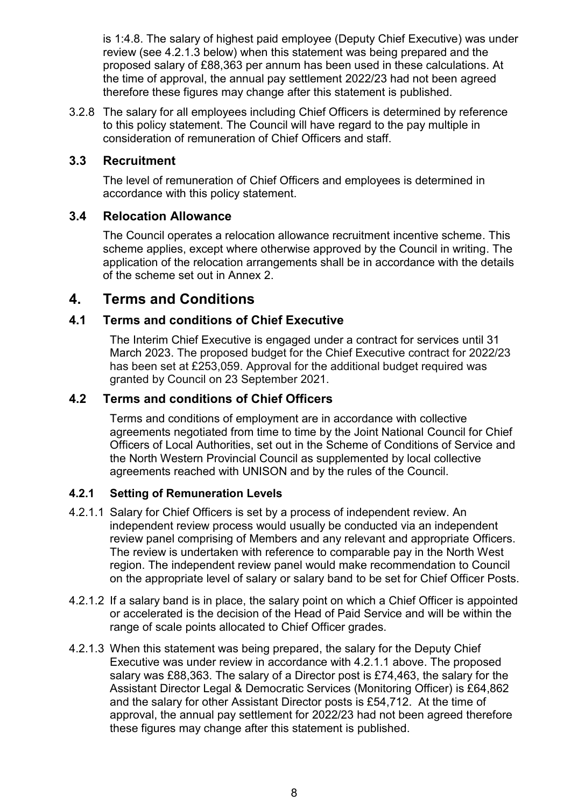is 1:4.8. The salary of highest paid employee (Deputy Chief Executive) was under review (see 4.2.1.3 below) when this statement was being prepared and the proposed salary of £88,363 per annum has been used in these calculations. At the time of approval, the annual pay settlement 2022/23 had not been agreed therefore these figures may change after this statement is published.

3.2.8 The salary for all employees including Chief Officers is determined by reference to this policy statement. The Council will have regard to the pay multiple in consideration of remuneration of Chief Officers and staff.

### **3.3 Recruitment**

The level of remuneration of Chief Officers and employees is determined in accordance with this policy statement.

### **3.4 Relocation Allowance**

The Council operates a relocation allowance recruitment incentive scheme. This scheme applies, except where otherwise approved by the Council in writing. The application of the relocation arrangements shall be in accordance with the details of the scheme set out in Annex 2.

# **4. Terms and Conditions**

### **4.1 Terms and conditions of Chief Executive**

The Interim Chief Executive is engaged under a contract for services until 31 March 2023. The proposed budget for the Chief Executive contract for 2022/23 has been set at £253,059. Approval for the additional budget required was granted by Council on 23 September 2021.

### **4.2 Terms and conditions of Chief Officers**

Terms and conditions of employment are in accordance with collective agreements negotiated from time to time by the Joint National Council for Chief Officers of Local Authorities, set out in the Scheme of Conditions of Service and the North Western Provincial Council as supplemented by local collective agreements reached with UNISON and by the rules of the Council.

### **4.2.1 Setting of Remuneration Levels**

- 4.2.1.1 Salary for Chief Officers is set by a process of independent review. An independent review process would usually be conducted via an independent review panel comprising of Members and any relevant and appropriate Officers. The review is undertaken with reference to comparable pay in the North West region. The independent review panel would make recommendation to Council on the appropriate level of salary or salary band to be set for Chief Officer Posts.
- 4.2.1.2 If a salary band is in place, the salary point on which a Chief Officer is appointed or accelerated is the decision of the Head of Paid Service and will be within the range of scale points allocated to Chief Officer grades.
- 4.2.1.3 When this statement was being prepared, the salary for the Deputy Chief Executive was under review in accordance with 4.2.1.1 above. The proposed salary was £88,363. The salary of a Director post is £74,463, the salary for the Assistant Director Legal & Democratic Services (Monitoring Officer) is £64,862 and the salary for other Assistant Director posts is £54,712. At the time of approval, the annual pay settlement for 2022/23 had not been agreed therefore these figures may change after this statement is published.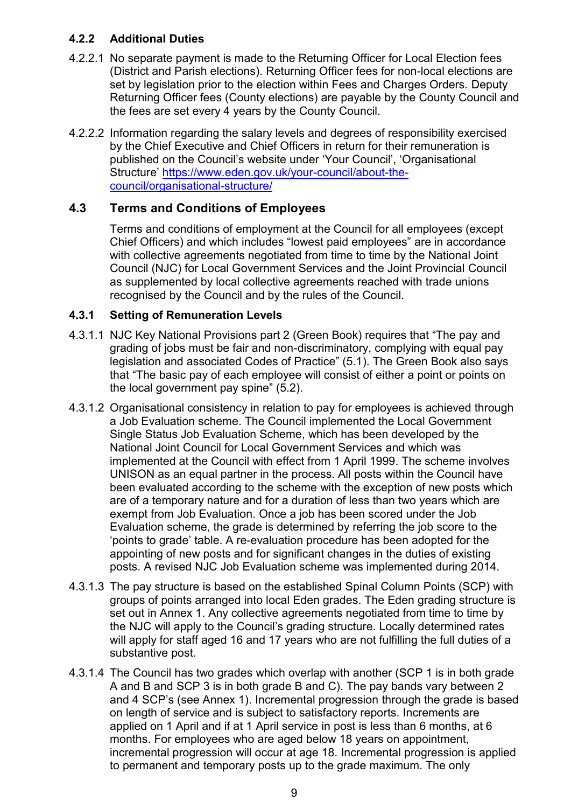### **4.2.2 Additional Duties**

- 4.2.2.1 No separate payment is made to the Returning Officer for Local Election fees (District and Parish elections). Returning Officer fees for non-local elections are set by legislation prior to the election within Fees and Charges Orders. Deputy Returning Officer fees (County elections) are payable by the County Council and the fees are set every 4 years by the County Council.
- 4.2.2.2 Information regarding the salary levels and degrees of responsibility exercised by the Chief Executive and Chief Officers in return for their remuneration is published on the Council's website under 'Your Council', 'Organisational Structure' [https://www.eden.gov.uk/your-council/about-the](https://www.eden.gov.uk/your-council/about-the-council/organisational-structure/)[council/organisational-structure/](https://www.eden.gov.uk/your-council/about-the-council/organisational-structure/)

### **4.3 Terms and Conditions of Employees**

Terms and conditions of employment at the Council for all employees (except Chief Officers) and which includes "lowest paid employees" are in accordance with collective agreements negotiated from time to time by the National Joint Council (NJC) for Local Government Services and the Joint Provincial Council as supplemented by local collective agreements reached with trade unions recognised by the Council and by the rules of the Council.

### **4.3.1 Setting of Remuneration Levels**

- 4.3.1.1 NJC Key National Provisions part 2 (Green Book) requires that "The pay and grading of jobs must be fair and non-discriminatory, complying with equal pay legislation and associated Codes of Practice" (5.1). The Green Book also says that "The basic pay of each employee will consist of either a point or points on the local government pay spine" (5.2).
- 4.3.1.2 Organisational consistency in relation to pay for employees is achieved through a Job Evaluation scheme. The Council implemented the Local Government Single Status Job Evaluation Scheme, which has been developed by the National Joint Council for Local Government Services and which was implemented at the Council with effect from 1 April 1999. The scheme involves UNISON as an equal partner in the process. All posts within the Council have been evaluated according to the scheme with the exception of new posts which are of a temporary nature and for a duration of less than two years which are exempt from Job Evaluation. Once a job has been scored under the Job Evaluation scheme, the grade is determined by referring the job score to the 'points to grade' table. A re-evaluation procedure has been adopted for the appointing of new posts and for significant changes in the duties of existing posts. A revised NJC Job Evaluation scheme was implemented during 2014.
- 4.3.1.3 The pay structure is based on the established Spinal Column Points (SCP) with groups of points arranged into local Eden grades. The Eden grading structure is set out in Annex 1. Any collective agreements negotiated from time to time by the NJC will apply to the Council's grading structure. Locally determined rates will apply for staff aged 16 and 17 years who are not fulfilling the full duties of a substantive post.
- 4.3.1.4 The Council has two grades which overlap with another (SCP 1 is in both grade A and B and SCP 3 is in both grade B and C). The pay bands vary between 2 and 4 SCP's (see Annex 1). Incremental progression through the grade is based on length of service and is subject to satisfactory reports. Increments are applied on 1 April and if at 1 April service in post is less than 6 months, at 6 months. For employees who are aged below 18 years on appointment, incremental progression will occur at age 18. Incremental progression is applied to permanent and temporary posts up to the grade maximum. The only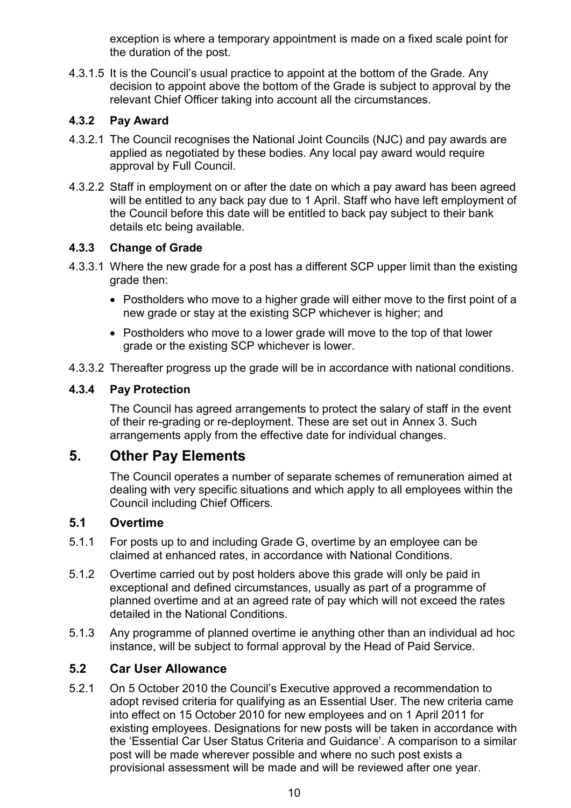exception is where a temporary appointment is made on a fixed scale point for the duration of the post.

4.3.1.5 It is the Council's usual practice to appoint at the bottom of the Grade. Any decision to appoint above the bottom of the Grade is subject to approval by the relevant Chief Officer taking into account all the circumstances.

### **4.3.2 Pay Award**

- 4.3.2.1 The Council recognises the National Joint Councils (NJC) and pay awards are applied as negotiated by these bodies. Any local pay award would require approval by Full Council.
- 4.3.2.2 Staff in employment on or after the date on which a pay award has been agreed will be entitled to any back pay due to 1 April. Staff who have left employment of the Council before this date will be entitled to back pay subject to their bank details etc being available.

### **4.3.3 Change of Grade**

- 4.3.3.1 Where the new grade for a post has a different SCP upper limit than the existing grade then:
	- Postholders who move to a higher grade will either move to the first point of a new grade or stay at the existing SCP whichever is higher; and
	- Postholders who move to a lower grade will move to the top of that lower grade or the existing SCP whichever is lower.
- 4.3.3.2 Thereafter progress up the grade will be in accordance with national conditions.

### **4.3.4 Pay Protection**

The Council has agreed arrangements to protect the salary of staff in the event of their re-grading or re-deployment. These are set out in Annex 3. Such arrangements apply from the effective date for individual changes.

# **5. Other Pay Elements**

The Council operates a number of separate schemes of remuneration aimed at dealing with very specific situations and which apply to all employees within the Council including Chief Officers.

### **5.1 Overtime**

- 5.1.1 For posts up to and including Grade G, overtime by an employee can be claimed at enhanced rates, in accordance with National Conditions.
- 5.1.2 Overtime carried out by post holders above this grade will only be paid in exceptional and defined circumstances, usually as part of a programme of planned overtime and at an agreed rate of pay which will not exceed the rates detailed in the National Conditions.
- 5.1.3 Any programme of planned overtime ie anything other than an individual ad hoc instance, will be subject to formal approval by the Head of Paid Service.

### **5.2 Car User Allowance**

5.2.1 On 5 October 2010 the Council's Executive approved a recommendation to adopt revised criteria for qualifying as an Essential User. The new criteria came into effect on 15 October 2010 for new employees and on 1 April 2011 for existing employees. Designations for new posts will be taken in accordance with the 'Essential Car User Status Criteria and Guidance'. A comparison to a similar post will be made wherever possible and where no such post exists a provisional assessment will be made and will be reviewed after one year.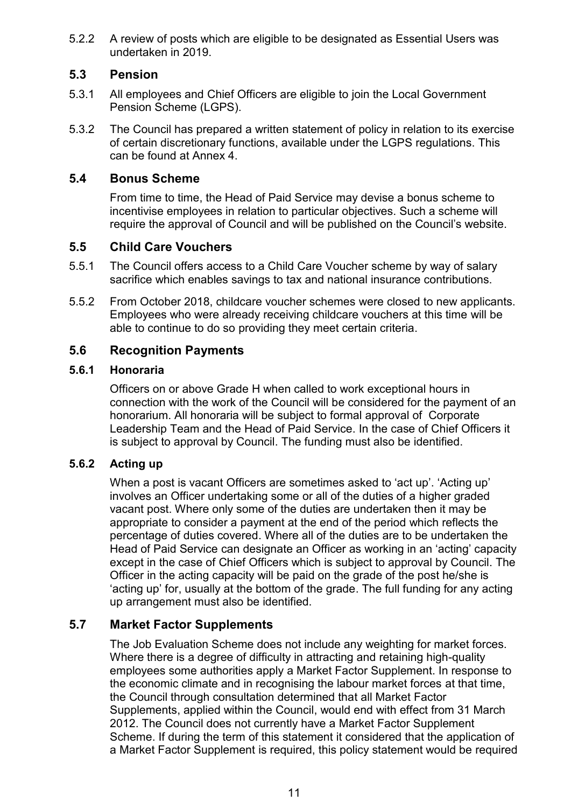5.2.2 A review of posts which are eligible to be designated as Essential Users was undertaken in 2019.

### **5.3 Pension**

- 5.3.1 All employees and Chief Officers are eligible to join the Local Government Pension Scheme (LGPS).
- 5.3.2 The Council has prepared a written statement of policy in relation to its exercise of certain discretionary functions, available under the LGPS regulations. This can be found at Annex 4.

### **5.4 Bonus Scheme**

From time to time, the Head of Paid Service may devise a bonus scheme to incentivise employees in relation to particular objectives. Such a scheme will require the approval of Council and will be published on the Council's website.

### **5.5 Child Care Vouchers**

- 5.5.1 The Council offers access to a Child Care Voucher scheme by way of salary sacrifice which enables savings to tax and national insurance contributions.
- 5.5.2 From October 2018, childcare voucher schemes were closed to new applicants. Employees who were already receiving childcare vouchers at this time will be able to continue to do so providing they meet certain criteria.

### **5.6 Recognition Payments**

### **5.6.1 Honoraria**

Officers on or above Grade H when called to work exceptional hours in connection with the work of the Council will be considered for the payment of an honorarium. All honoraria will be subject to formal approval of Corporate Leadership Team and the Head of Paid Service. In the case of Chief Officers it is subject to approval by Council. The funding must also be identified.

### **5.6.2 Acting up**

When a post is vacant Officers are sometimes asked to 'act up'. 'Acting up' involves an Officer undertaking some or all of the duties of a higher graded vacant post. Where only some of the duties are undertaken then it may be appropriate to consider a payment at the end of the period which reflects the percentage of duties covered. Where all of the duties are to be undertaken the Head of Paid Service can designate an Officer as working in an 'acting' capacity except in the case of Chief Officers which is subject to approval by Council. The Officer in the acting capacity will be paid on the grade of the post he/she is 'acting up' for, usually at the bottom of the grade. The full funding for any acting up arrangement must also be identified.

### **5.7 Market Factor Supplements**

The Job Evaluation Scheme does not include any weighting for market forces. Where there is a degree of difficulty in attracting and retaining high-quality employees some authorities apply a Market Factor Supplement. In response to the economic climate and in recognising the labour market forces at that time, the Council through consultation determined that all Market Factor Supplements, applied within the Council, would end with effect from 31 March 2012. The Council does not currently have a Market Factor Supplement Scheme. If during the term of this statement it considered that the application of a Market Factor Supplement is required, this policy statement would be required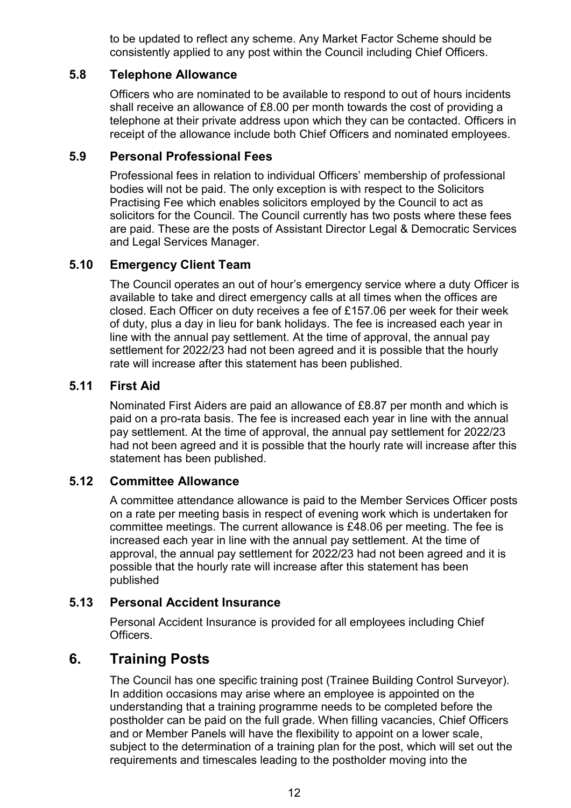to be updated to reflect any scheme. Any Market Factor Scheme should be consistently applied to any post within the Council including Chief Officers.

### **5.8 Telephone Allowance**

Officers who are nominated to be available to respond to out of hours incidents shall receive an allowance of £8.00 per month towards the cost of providing a telephone at their private address upon which they can be contacted. Officers in receipt of the allowance include both Chief Officers and nominated employees.

### **5.9 Personal Professional Fees**

Professional fees in relation to individual Officers' membership of professional bodies will not be paid. The only exception is with respect to the Solicitors Practising Fee which enables solicitors employed by the Council to act as solicitors for the Council. The Council currently has two posts where these fees are paid. These are the posts of Assistant Director Legal & Democratic Services and Legal Services Manager.

### **5.10 Emergency Client Team**

The Council operates an out of hour's emergency service where a duty Officer is available to take and direct emergency calls at all times when the offices are closed. Each Officer on duty receives a fee of £157.06 per week for their week of duty, plus a day in lieu for bank holidays. The fee is increased each year in line with the annual pay settlement. At the time of approval, the annual pay settlement for 2022/23 had not been agreed and it is possible that the hourly rate will increase after this statement has been published.

### **5.11 First Aid**

Nominated First Aiders are paid an allowance of £8.87 per month and which is paid on a pro-rata basis. The fee is increased each year in line with the annual pay settlement. At the time of approval, the annual pay settlement for 2022/23 had not been agreed and it is possible that the hourly rate will increase after this statement has been published.

### **5.12 Committee Allowance**

A committee attendance allowance is paid to the Member Services Officer posts on a rate per meeting basis in respect of evening work which is undertaken for committee meetings. The current allowance is £48.06 per meeting. The fee is increased each year in line with the annual pay settlement. At the time of approval, the annual pay settlement for 2022/23 had not been agreed and it is possible that the hourly rate will increase after this statement has been published

### **5.13 Personal Accident Insurance**

Personal Accident Insurance is provided for all employees including Chief Officers.

### **6. Training Posts**

The Council has one specific training post (Trainee Building Control Surveyor). In addition occasions may arise where an employee is appointed on the understanding that a training programme needs to be completed before the postholder can be paid on the full grade. When filling vacancies, Chief Officers and or Member Panels will have the flexibility to appoint on a lower scale, subject to the determination of a training plan for the post, which will set out the requirements and timescales leading to the postholder moving into the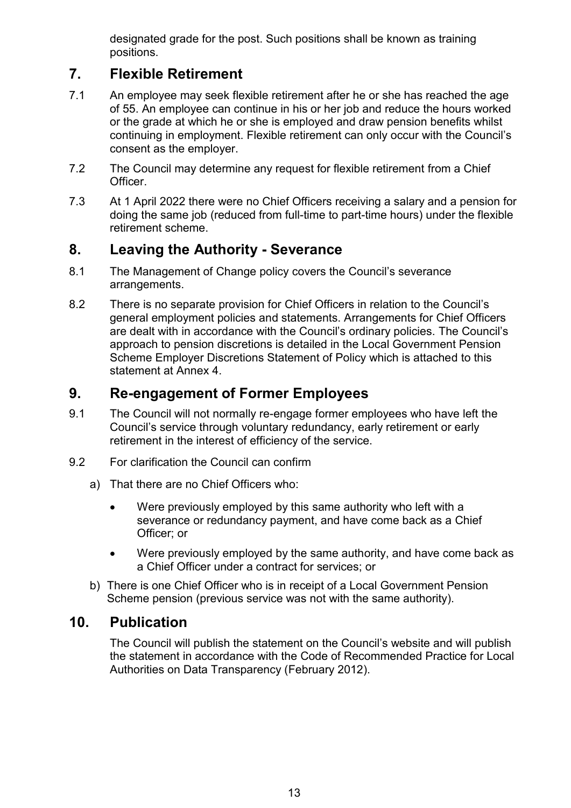designated grade for the post. Such positions shall be known as training positions.

# **7. Flexible Retirement**

- 7.1 An employee may seek flexible retirement after he or she has reached the age of 55. An employee can continue in his or her job and reduce the hours worked or the grade at which he or she is employed and draw pension benefits whilst continuing in employment. Flexible retirement can only occur with the Council's consent as the employer.
- 7.2 The Council may determine any request for flexible retirement from a Chief Officer.
- 7.3 At 1 April 2022 there were no Chief Officers receiving a salary and a pension for doing the same job (reduced from full-time to part-time hours) under the flexible retirement scheme.

# **8. Leaving the Authority - Severance**

- 8.1 The Management of Change policy covers the Council's severance arrangements.
- 8.2 There is no separate provision for Chief Officers in relation to the Council's general employment policies and statements. Arrangements for Chief Officers are dealt with in accordance with the Council's ordinary policies. The Council's approach to pension discretions is detailed in the Local Government Pension Scheme Employer Discretions Statement of Policy which is attached to this statement at Annex 4.

# **9. Re-engagement of Former Employees**

- 9.1 The Council will not normally re-engage former employees who have left the Council's service through voluntary redundancy, early retirement or early retirement in the interest of efficiency of the service.
- 9.2 For clarification the Council can confirm
	- a) That there are no Chief Officers who:
		- Were previously employed by this same authority who left with a severance or redundancy payment, and have come back as a Chief Officer; or
		- Were previously employed by the same authority, and have come back as a Chief Officer under a contract for services; or
	- b) There is one Chief Officer who is in receipt of a Local Government Pension Scheme pension (previous service was not with the same authority).

# **10. Publication**

The Council will publish the statement on the Council's website and will publish the statement in accordance with the Code of Recommended Practice for Local Authorities on Data Transparency (February 2012).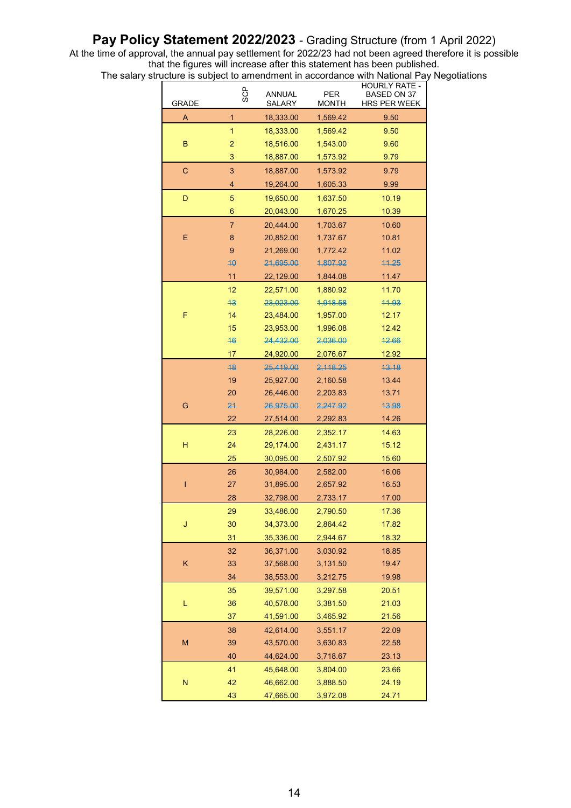### Pay Policy Statement 2022/2023 - Grading Structure (from 1 April 2022)

At the time of approval, the annual pay settlement for 2022/23 had not been agreed therefore it is possible that the figures will increase after this statement has been published.

The salary structure is subject to amendment in accordance with National Pay Negotiations

| <b>GRADE</b> | 93S            |                        | <b>PER</b><br><b>MONTH</b> | <b>HOURLY RATE -</b><br><b>BASED ON 37</b><br>HRS PER WEEK |
|--------------|----------------|------------------------|----------------------------|------------------------------------------------------------|
| A            | 1              | 18,333.00              | 1,569.42                   | 9.50                                                       |
|              | $\mathbf{1}$   | 18,333.00              | 1,569.42                   | 9.50                                                       |
| B            | $\overline{c}$ | 18,516.00              | 1,543.00                   | 9.60                                                       |
|              | 3              | 18,887.00              | 1,573.92                   | 9.79                                                       |
| C            | 3              | 18,887.00              | 1,573.92                   | 9.79                                                       |
|              | $\overline{4}$ | 19,264.00              | 1,605.33                   | 9.99                                                       |
| D            | 5              | 19,650.00              | 1,637.50                   | 10.19                                                      |
|              | 6              | 20,043.00              | 1,670.25                   | 10.39                                                      |
|              | $\overline{7}$ | 20,444.00              | 1,703.67                   | 10.60                                                      |
| E            | $\bf 8$        | 20,852.00              | 1,737.67                   | 10.81                                                      |
|              | 9              | 21,269.00              | 1,772.42                   | 11.02                                                      |
|              | 40             | 21,695.00              | 4,807.92                   | 44.25                                                      |
|              | 11             | 22,129.00              | 1,844.08                   | 11.47                                                      |
|              | 12             | 22,571.00              | 1,880.92                   | 11.70                                                      |
|              | 43             | 23,023.00              | 1,918.58                   | 11.93                                                      |
| F            | 14             | 23,484.00              | 1,957.00                   | 12.17                                                      |
|              | 15<br>46       | 23,953.00              | 1,996.08                   | 12.42                                                      |
|              | 17             | 24,432.00<br>24,920.00 | 2,036.00                   | 42.66                                                      |
|              | 48             | 25,419.00              | 2,076.67<br>2, 118.25      | 12.92<br>43.18                                             |
|              | 19             | 25,927.00              | 2,160.58                   | 13.44                                                      |
|              | 20             | 26,446.00              | 2,203.83                   | 13.71                                                      |
| G            | 24             | 26,975.00              | 2,247.92                   | 43.98                                                      |
|              | 22             | 27,514.00              | 2,292.83                   | 14.26                                                      |
|              | 23             | 28,226.00              | 2,352.17                   | 14.63                                                      |
| н            | 24             | 29,174.00              | 2,431.17                   | 15.12                                                      |
|              | 25             | 30,095.00              | 2,507.92                   | 15.60                                                      |
|              | 26             | 30,984.00              | 2,582.00                   | 16.06                                                      |
| ı            | 27             | 31,895.00              | 2,657.92                   | 16.53                                                      |
|              | 28             | 32,798.00              | 2,733.17                   | 17.00                                                      |
|              | 29             | 33,486.00              | 2,790.50                   | 17.36                                                      |
| J            | 30             | 34,373.00              | 2,864.42                   | 17.82                                                      |
|              | 31             | 35,336.00              | 2,944.67                   | 18.32                                                      |
|              | 32             | 36,371.00              | 3,030.92                   | 18.85                                                      |
| Κ            | 33             | 37,568.00              | 3,131.50                   | 19.47                                                      |
|              | 34             | 38,553.00              | 3,212.75                   | 19.98                                                      |
|              | 35             | 39,571.00              | 3,297.58                   | 20.51                                                      |
| L            | 36             | 40,578.00              | 3,381.50                   | 21.03                                                      |
|              | 37             | 41,591.00              | 3,465.92                   | 21.56                                                      |
|              | 38             | 42,614.00              | 3,551.17                   | 22.09                                                      |
| M            | 39             | 43,570.00              | 3,630.83                   | 22.58                                                      |
|              | 40             | 44,624.00              | 3,718.67                   | 23.13                                                      |
|              | 41             | 45,648.00              | 3,804.00                   | 23.66                                                      |
| N            | 42             | 46,662.00              | 3,888.50                   | 24.19                                                      |
|              | 43             | 47,665.00              | 3,972.08                   | 24.71                                                      |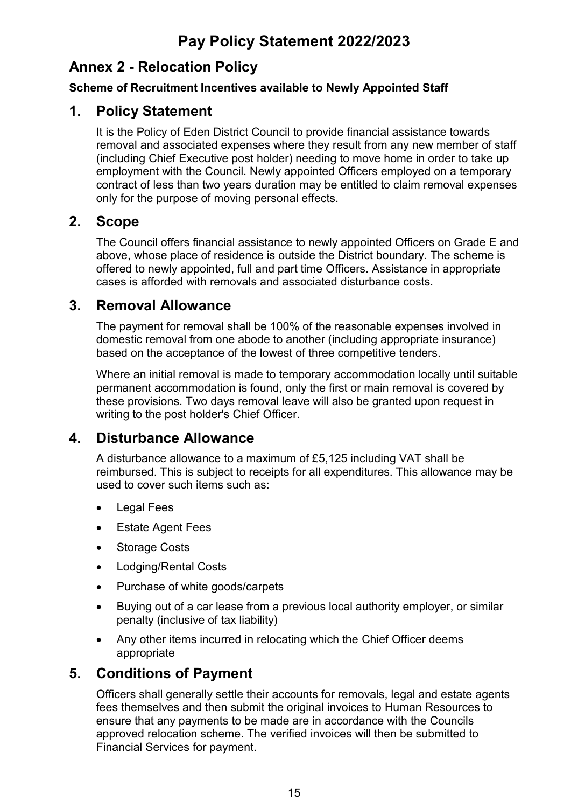# **Pay Policy Statement 2022/2023**

# **Annex 2 - Relocation Policy**

### **Scheme of Recruitment Incentives available to Newly Appointed Staff**

# **1. Policy Statement**

It is the Policy of Eden District Council to provide financial assistance towards removal and associated expenses where they result from any new member of staff (including Chief Executive post holder) needing to move home in order to take up employment with the Council. Newly appointed Officers employed on a temporary contract of less than two years duration may be entitled to claim removal expenses only for the purpose of moving personal effects.

# **2. Scope**

The Council offers financial assistance to newly appointed Officers on Grade E and above, whose place of residence is outside the District boundary. The scheme is offered to newly appointed, full and part time Officers. Assistance in appropriate cases is afforded with removals and associated disturbance costs.

# **3. Removal Allowance**

The payment for removal shall be 100% of the reasonable expenses involved in domestic removal from one abode to another (including appropriate insurance) based on the acceptance of the lowest of three competitive tenders.

Where an initial removal is made to temporary accommodation locally until suitable permanent accommodation is found, only the first or main removal is covered by these provisions. Two days removal leave will also be granted upon request in writing to the post holder's Chief Officer.

# **4. Disturbance Allowance**

A disturbance allowance to a maximum of £5,125 including VAT shall be reimbursed. This is subject to receipts for all expenditures. This allowance may be used to cover such items such as:

- Legal Fees
- Estate Agent Fees
- Storage Costs
- Lodging/Rental Costs
- Purchase of white goods/carpets
- Buying out of a car lease from a previous local authority employer, or similar penalty (inclusive of tax liability)
- Any other items incurred in relocating which the Chief Officer deems appropriate

# **5. Conditions of Payment**

Officers shall generally settle their accounts for removals, legal and estate agents fees themselves and then submit the original invoices to Human Resources to ensure that any payments to be made are in accordance with the Councils approved relocation scheme. The verified invoices will then be submitted to Financial Services for payment.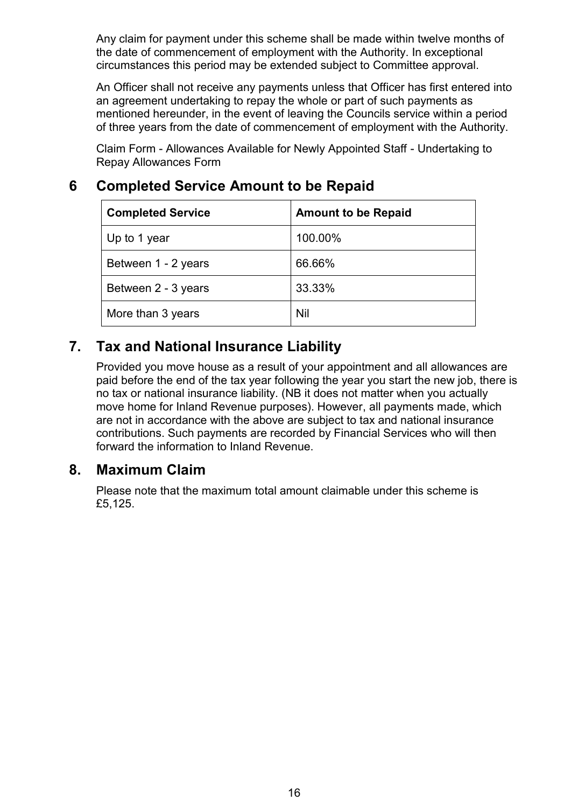Any claim for payment under this scheme shall be made within twelve months of the date of commencement of employment with the Authority. In exceptional circumstances this period may be extended subject to Committee approval.

An Officer shall not receive any payments unless that Officer has first entered into an agreement undertaking to repay the whole or part of such payments as mentioned hereunder, in the event of leaving the Councils service within a period of three years from the date of commencement of employment with the Authority.

Claim Form - Allowances Available for Newly Appointed Staff - Undertaking to Repay Allowances Form

# **6 Completed Service Amount to be Repaid**

| <b>Completed Service</b> | <b>Amount to be Repaid</b> |
|--------------------------|----------------------------|
| Up to 1 year             | 100.00%                    |
| Between 1 - 2 years      | 66.66%                     |
| Between 2 - 3 years      | 33.33%                     |
| More than 3 years        | <b>Nil</b>                 |

# **7. Tax and National Insurance Liability**

Provided you move house as a result of your appointment and all allowances are paid before the end of the tax year following the year you start the new job, there is no tax or national insurance liability. (NB it does not matter when you actually move home for Inland Revenue purposes). However, all payments made, which are not in accordance with the above are subject to tax and national insurance contributions. Such payments are recorded by Financial Services who will then forward the information to Inland Revenue.

# **8. Maximum Claim**

Please note that the maximum total amount claimable under this scheme is £5,125.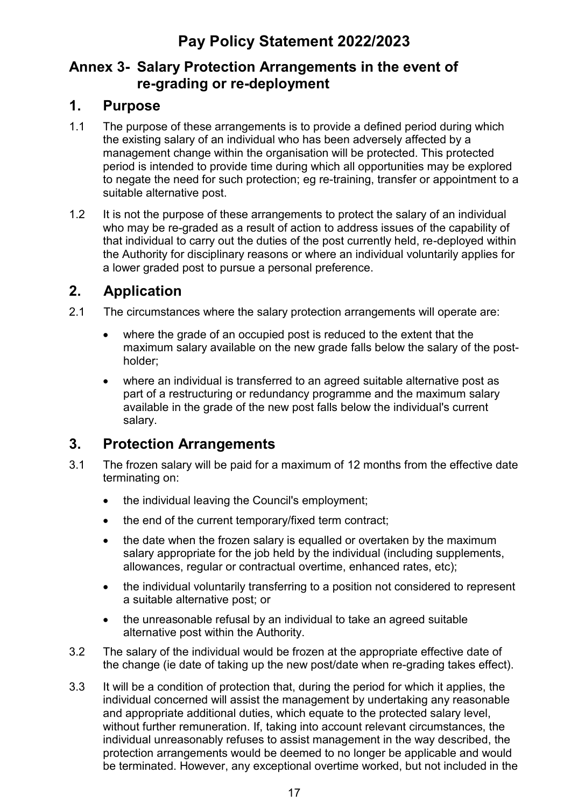# **Annex 3- Salary Protection Arrangements in the event of re-grading or re-deployment**

# **1. Purpose**

- 1.1 The purpose of these arrangements is to provide a defined period during which the existing salary of an individual who has been adversely affected by a management change within the organisation will be protected. This protected period is intended to provide time during which all opportunities may be explored to negate the need for such protection; eg re-training, transfer or appointment to a suitable alternative post.
- 1.2 It is not the purpose of these arrangements to protect the salary of an individual who may be re-graded as a result of action to address issues of the capability of that individual to carry out the duties of the post currently held, re-deployed within the Authority for disciplinary reasons or where an individual voluntarily applies for a lower graded post to pursue a personal preference.

# **2. Application**

- 2.1 The circumstances where the salary protection arrangements will operate are:
	- where the grade of an occupied post is reduced to the extent that the maximum salary available on the new grade falls below the salary of the postholder;
	- where an individual is transferred to an agreed suitable alternative post as part of a restructuring or redundancy programme and the maximum salary available in the grade of the new post falls below the individual's current salary.

# **3. Protection Arrangements**

- 3.1 The frozen salary will be paid for a maximum of 12 months from the effective date terminating on:
	- the individual leaving the Council's employment:
	- the end of the current temporary/fixed term contract;
	- the date when the frozen salary is equalled or overtaken by the maximum salary appropriate for the job held by the individual (including supplements, allowances, regular or contractual overtime, enhanced rates, etc);
	- the individual voluntarily transferring to a position not considered to represent a suitable alternative post; or
	- the unreasonable refusal by an individual to take an agreed suitable alternative post within the Authority.
- 3.2 The salary of the individual would be frozen at the appropriate effective date of the change (ie date of taking up the new post/date when re-grading takes effect).
- 3.3 It will be a condition of protection that, during the period for which it applies, the individual concerned will assist the management by undertaking any reasonable and appropriate additional duties, which equate to the protected salary level, without further remuneration. If, taking into account relevant circumstances, the individual unreasonably refuses to assist management in the way described, the protection arrangements would be deemed to no longer be applicable and would be terminated. However, any exceptional overtime worked, but not included in the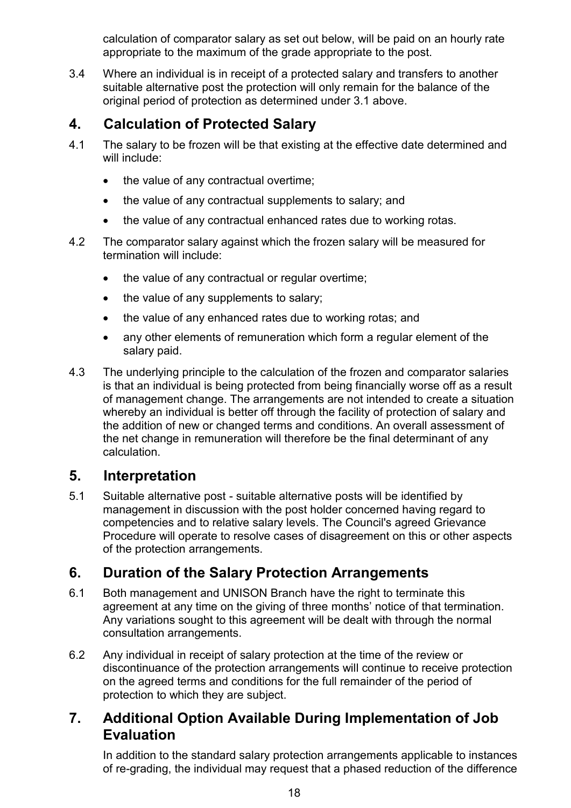calculation of comparator salary as set out below, will be paid on an hourly rate appropriate to the maximum of the grade appropriate to the post.

3.4 Where an individual is in receipt of a protected salary and transfers to another suitable alternative post the protection will only remain for the balance of the original period of protection as determined under 3.1 above.

# **4. Calculation of Protected Salary**

- 4.1 The salary to be frozen will be that existing at the effective date determined and will include:
	- the value of any contractual overtime;
	- the value of any contractual supplements to salary; and
	- the value of any contractual enhanced rates due to working rotas.
- 4.2 The comparator salary against which the frozen salary will be measured for termination will include:
	- the value of any contractual or regular overtime;
	- the value of any supplements to salary;
	- the value of any enhanced rates due to working rotas; and
	- any other elements of remuneration which form a regular element of the salary paid.
- 4.3 The underlying principle to the calculation of the frozen and comparator salaries is that an individual is being protected from being financially worse off as a result of management change. The arrangements are not intended to create a situation whereby an individual is better off through the facility of protection of salary and the addition of new or changed terms and conditions. An overall assessment of the net change in remuneration will therefore be the final determinant of any calculation.

# **5. Interpretation**

5.1 Suitable alternative post - suitable alternative posts will be identified by management in discussion with the post holder concerned having regard to competencies and to relative salary levels. The Council's agreed Grievance Procedure will operate to resolve cases of disagreement on this or other aspects of the protection arrangements.

# **6. Duration of the Salary Protection Arrangements**

- 6.1 Both management and UNISON Branch have the right to terminate this agreement at any time on the giving of three months' notice of that termination. Any variations sought to this agreement will be dealt with through the normal consultation arrangements.
- 6.2 Any individual in receipt of salary protection at the time of the review or discontinuance of the protection arrangements will continue to receive protection on the agreed terms and conditions for the full remainder of the period of protection to which they are subject.

# **7. Additional Option Available During Implementation of Job Evaluation**

In addition to the standard salary protection arrangements applicable to instances of re-grading, the individual may request that a phased reduction of the difference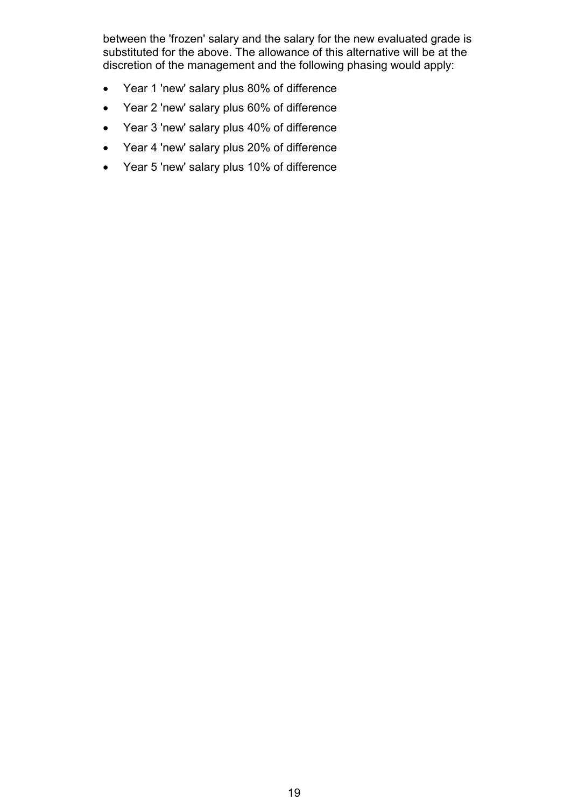between the 'frozen' salary and the salary for the new evaluated grade is substituted for the above. The allowance of this alternative will be at the discretion of the management and the following phasing would apply:

- Year 1 'new' salary plus 80% of difference
- Year 2 'new' salary plus 60% of difference
- Year 3 'new' salary plus 40% of difference
- Year 4 'new' salary plus 20% of difference
- Year 5 'new' salary plus 10% of difference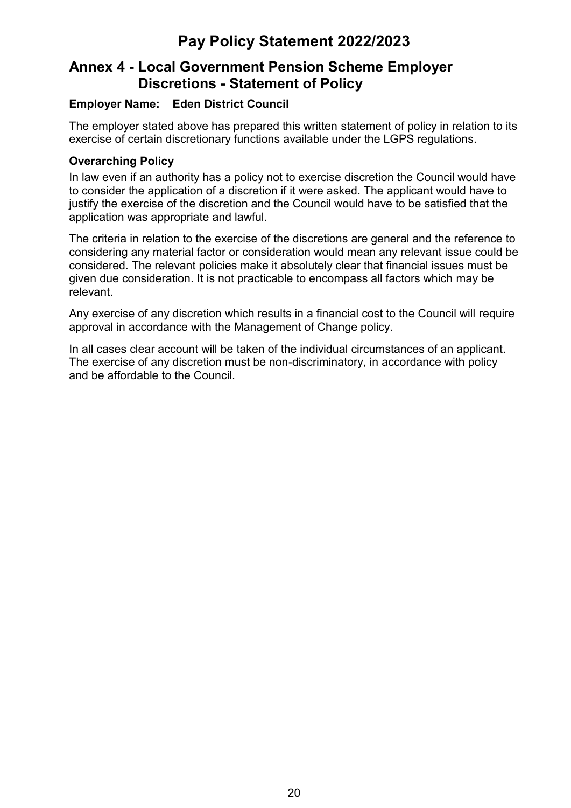# **Pay Policy Statement 2022/2023**

# **Annex 4 - Local Government Pension Scheme Employer Discretions - Statement of Policy**

### **Employer Name: Eden District Council**

The employer stated above has prepared this written statement of policy in relation to its exercise of certain discretionary functions available under the LGPS regulations.

### **Overarching Policy**

In law even if an authority has a policy not to exercise discretion the Council would have to consider the application of a discretion if it were asked. The applicant would have to justify the exercise of the discretion and the Council would have to be satisfied that the application was appropriate and lawful.

The criteria in relation to the exercise of the discretions are general and the reference to considering any material factor or consideration would mean any relevant issue could be considered. The relevant policies make it absolutely clear that financial issues must be given due consideration. It is not practicable to encompass all factors which may be relevant.

Any exercise of any discretion which results in a financial cost to the Council will require approval in accordance with the Management of Change policy.

In all cases clear account will be taken of the individual circumstances of an applicant. The exercise of any discretion must be non-discriminatory, in accordance with policy and be affordable to the Council.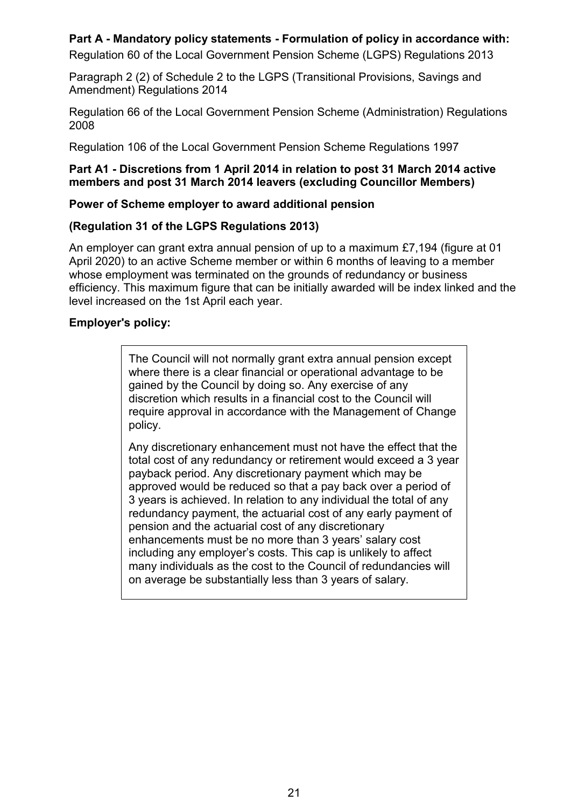### **Part A - Mandatory policy statements - Formulation of policy in accordance with:**

Regulation 60 of the Local Government Pension Scheme (LGPS) Regulations 2013

Paragraph 2 (2) of Schedule 2 to the LGPS (Transitional Provisions, Savings and Amendment) Regulations 2014

Regulation 66 of the Local Government Pension Scheme (Administration) Regulations 2008

Regulation 106 of the Local Government Pension Scheme Regulations 1997

#### **Part A1 - Discretions from 1 April 2014 in relation to post 31 March 2014 active members and post 31 March 2014 leavers (excluding Councillor Members)**

#### **Power of Scheme employer to award additional pension**

#### **(Regulation 31 of the LGPS Regulations 2013)**

An employer can grant extra annual pension of up to a maximum £7,194 (figure at 01 April 2020) to an active Scheme member or within 6 months of leaving to a member whose employment was terminated on the grounds of redundancy or business efficiency. This maximum figure that can be initially awarded will be index linked and the level increased on the 1st April each year.

#### **Employer's policy:**

The Council will not normally grant extra annual pension except where there is a clear financial or operational advantage to be gained by the Council by doing so. Any exercise of any discretion which results in a financial cost to the Council will require approval in accordance with the Management of Change policy.

Any discretionary enhancement must not have the effect that the total cost of any redundancy or retirement would exceed a 3 year payback period. Any discretionary payment which may be approved would be reduced so that a pay back over a period of 3 years is achieved. In relation to any individual the total of any redundancy payment, the actuarial cost of any early payment of pension and the actuarial cost of any discretionary enhancements must be no more than 3 years' salary cost including any employer's costs. This cap is unlikely to affect many individuals as the cost to the Council of redundancies will on average be substantially less than 3 years of salary.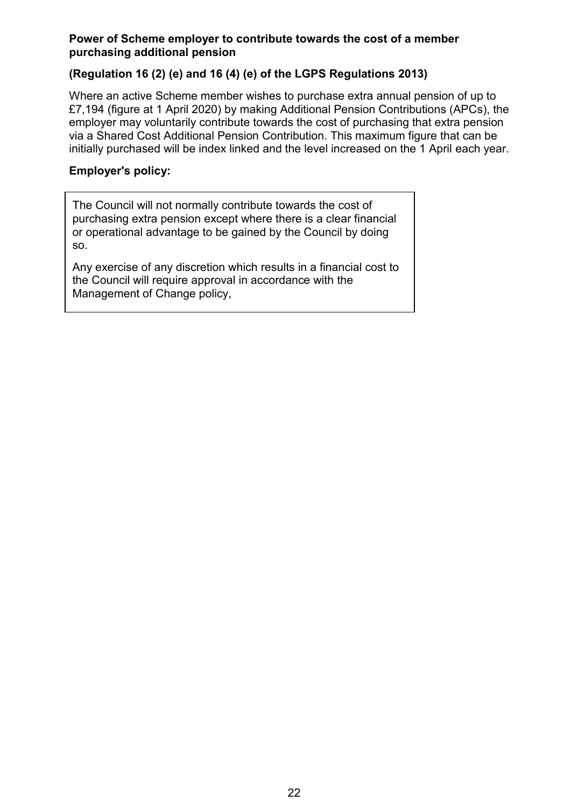#### **Power of Scheme employer to contribute towards the cost of a member purchasing additional pension**

### **(Regulation 16 (2) (e) and 16 (4) (e) of the LGPS Regulations 2013)**

Where an active Scheme member wishes to purchase extra annual pension of up to £7,194 (figure at 1 April 2020) by making Additional Pension Contributions (APCs), the employer may voluntarily contribute towards the cost of purchasing that extra pension via a Shared Cost Additional Pension Contribution. This maximum figure that can be initially purchased will be index linked and the level increased on the 1 April each year.

### **Employer's policy:**

The Council will not normally contribute towards the cost of purchasing extra pension except where there is a clear financial or operational advantage to be gained by the Council by doing so.

Any exercise of any discretion which results in a financial cost to the Council will require approval in accordance with the Management of Change policy,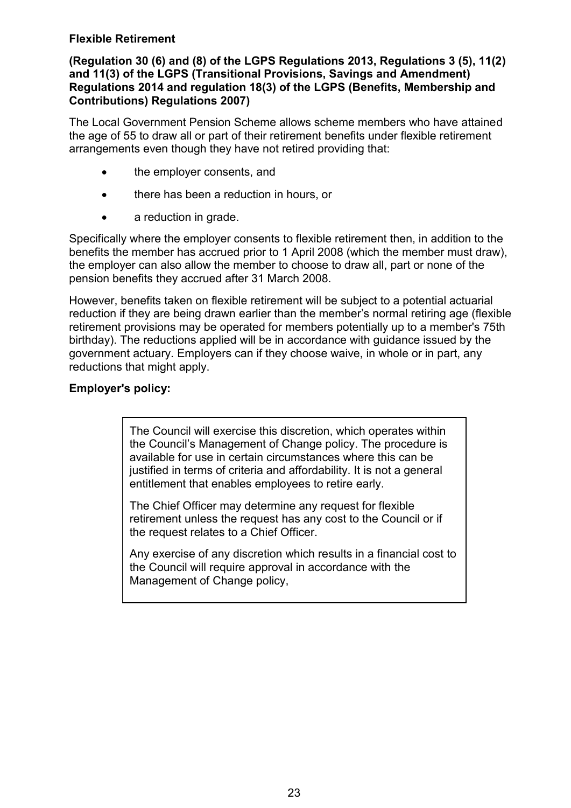### **Flexible Retirement**

### **(Regulation 30 (6) and (8) of the LGPS Regulations 2013, Regulations 3 (5), 11(2) and 11(3) of the LGPS (Transitional Provisions, Savings and Amendment) Regulations 2014 and regulation 18(3) of the LGPS (Benefits, Membership and Contributions) Regulations 2007)**

The Local Government Pension Scheme allows scheme members who have attained the age of 55 to draw all or part of their retirement benefits under flexible retirement arrangements even though they have not retired providing that:

- the employer consents, and
- there has been a reduction in hours, or
- a reduction in grade.

Specifically where the employer consents to flexible retirement then, in addition to the benefits the member has accrued prior to 1 April 2008 (which the member must draw), the employer can also allow the member to choose to draw all, part or none of the pension benefits they accrued after 31 March 2008.

However, benefits taken on flexible retirement will be subject to a potential actuarial reduction if they are being drawn earlier than the member's normal retiring age (flexible retirement provisions may be operated for members potentially up to a member's 75th birthday). The reductions applied will be in accordance with guidance issued by the government actuary. Employers can if they choose waive, in whole or in part, any reductions that might apply.

### **Employer's policy:**

The Council will exercise this discretion, which operates within the Council's Management of Change policy. The procedure is available for use in certain circumstances where this can be justified in terms of criteria and affordability. It is not a general entitlement that enables employees to retire early.

The Chief Officer may determine any request for flexible retirement unless the request has any cost to the Council or if the request relates to a Chief Officer.

Any exercise of any discretion which results in a financial cost to the Council will require approval in accordance with the Management of Change policy,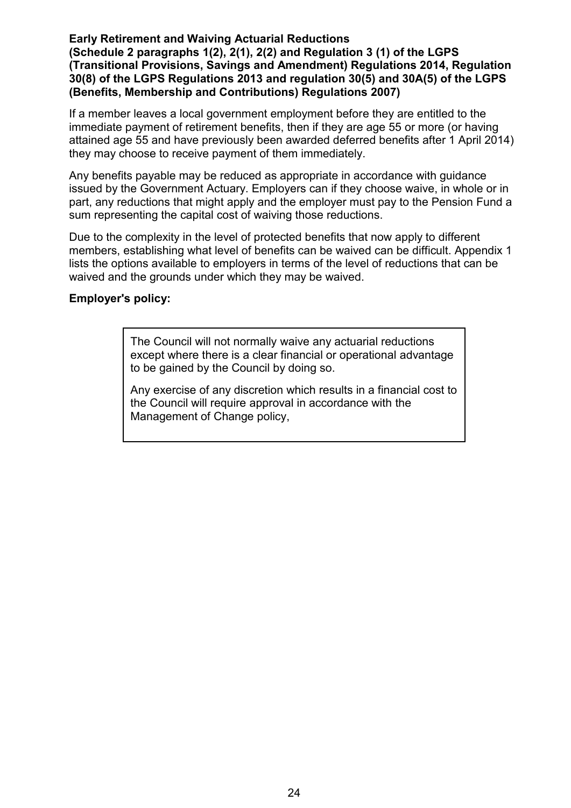#### **Early Retirement and Waiving Actuarial Reductions (Schedule 2 paragraphs 1(2), 2(1), 2(2) and Regulation 3 (1) of the LGPS (Transitional Provisions, Savings and Amendment) Regulations 2014, Regulation 30(8) of the LGPS Regulations 2013 and regulation 30(5) and 30A(5) of the LGPS (Benefits, Membership and Contributions) Regulations 2007)**

If a member leaves a local government employment before they are entitled to the immediate payment of retirement benefits, then if they are age 55 or more (or having attained age 55 and have previously been awarded deferred benefits after 1 April 2014) they may choose to receive payment of them immediately.

Any benefits payable may be reduced as appropriate in accordance with guidance issued by the Government Actuary. Employers can if they choose waive, in whole or in part, any reductions that might apply and the employer must pay to the Pension Fund a sum representing the capital cost of waiving those reductions.

Due to the complexity in the level of protected benefits that now apply to different members, establishing what level of benefits can be waived can be difficult. Appendix 1 lists the options available to employers in terms of the level of reductions that can be waived and the grounds under which they may be waived.

### **Employer's policy:**

The Council will not normally waive any actuarial reductions except where there is a clear financial or operational advantage to be gained by the Council by doing so.

Any exercise of any discretion which results in a financial cost to the Council will require approval in accordance with the Management of Change policy,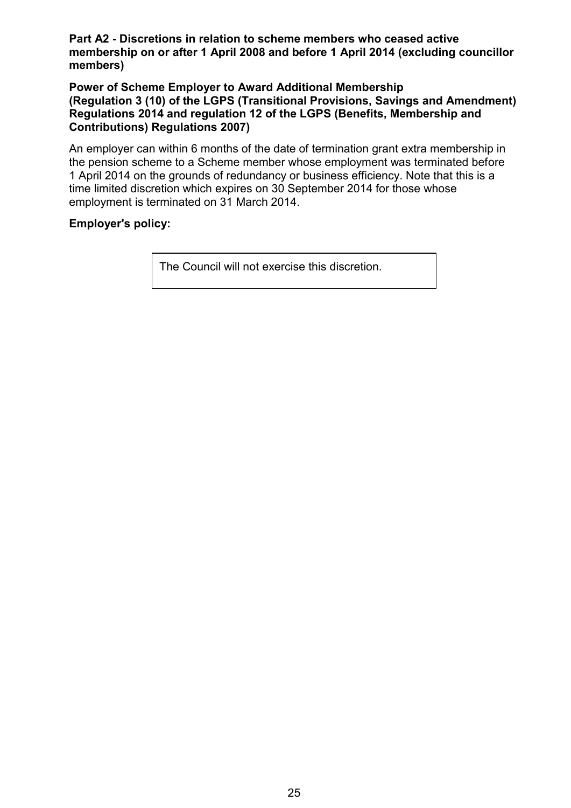**Part A2 - Discretions in relation to scheme members who ceased active membership on or after 1 April 2008 and before 1 April 2014 (excluding councillor members)**

**Power of Scheme Employer to Award Additional Membership (Regulation 3 (10) of the LGPS (Transitional Provisions, Savings and Amendment) Regulations 2014 and regulation 12 of the LGPS (Benefits, Membership and Contributions) Regulations 2007)**

An employer can within 6 months of the date of termination grant extra membership in the pension scheme to a Scheme member whose employment was terminated before 1 April 2014 on the grounds of redundancy or business efficiency. Note that this is a time limited discretion which expires on 30 September 2014 for those whose employment is terminated on 31 March 2014.

### **Employer's policy:**

The Council will not exercise this discretion.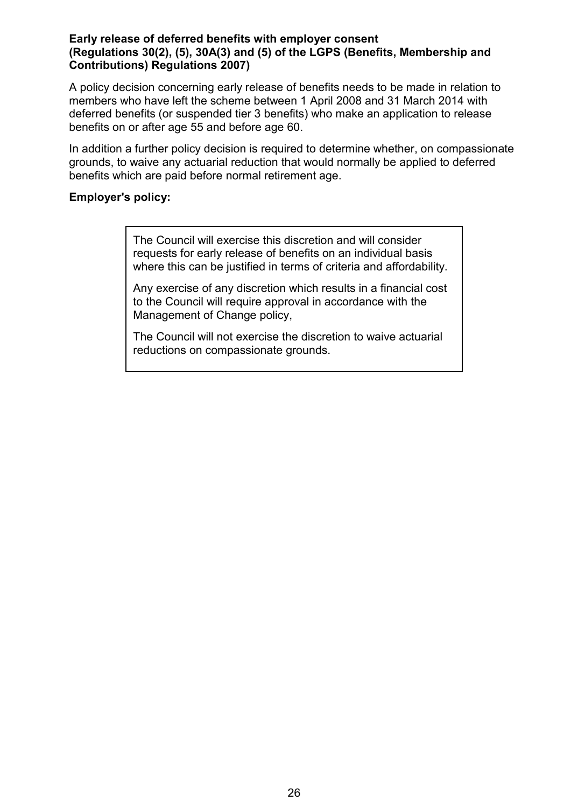#### **Early release of deferred benefits with employer consent (Regulations 30(2), (5), 30A(3) and (5) of the LGPS (Benefits, Membership and Contributions) Regulations 2007)**

A policy decision concerning early release of benefits needs to be made in relation to members who have left the scheme between 1 April 2008 and 31 March 2014 with deferred benefits (or suspended tier 3 benefits) who make an application to release benefits on or after age 55 and before age 60.

In addition a further policy decision is required to determine whether, on compassionate grounds, to waive any actuarial reduction that would normally be applied to deferred benefits which are paid before normal retirement age.

#### **Employer's policy:**

The Council will exercise this discretion and will consider requests for early release of benefits on an individual basis where this can be justified in terms of criteria and affordability.

Any exercise of any discretion which results in a financial cost to the Council will require approval in accordance with the Management of Change policy,

The Council will not exercise the discretion to waive actuarial reductions on compassionate grounds.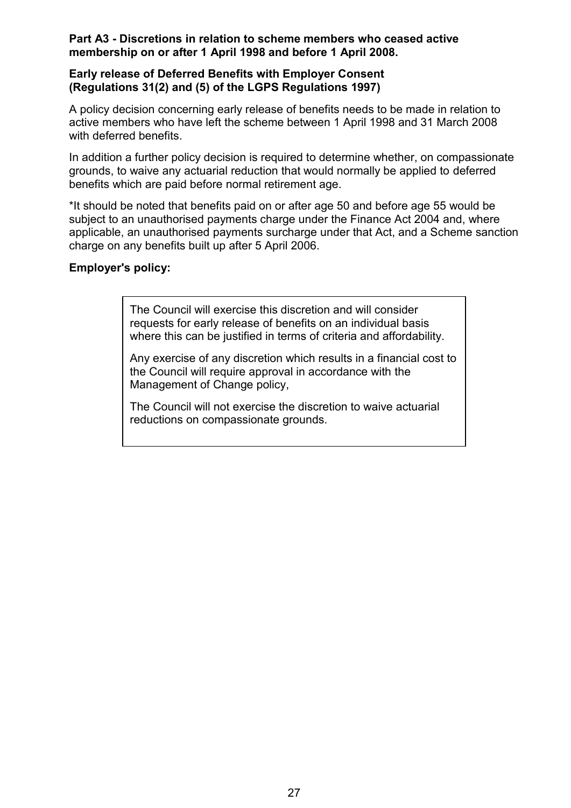#### **Part A3 - Discretions in relation to scheme members who ceased active membership on or after 1 April 1998 and before 1 April 2008.**

#### **Early release of Deferred Benefits with Employer Consent (Regulations 31(2) and (5) of the LGPS Regulations 1997)**

A policy decision concerning early release of benefits needs to be made in relation to active members who have left the scheme between 1 April 1998 and 31 March 2008 with deferred benefits.

In addition a further policy decision is required to determine whether, on compassionate grounds, to waive any actuarial reduction that would normally be applied to deferred benefits which are paid before normal retirement age.

\*It should be noted that benefits paid on or after age 50 and before age 55 would be subject to an unauthorised payments charge under the Finance Act 2004 and, where applicable, an unauthorised payments surcharge under that Act, and a Scheme sanction charge on any benefits built up after 5 April 2006.

### **Employer's policy:**

The Council will exercise this discretion and will consider requests for early release of benefits on an individual basis where this can be justified in terms of criteria and affordability.

Any exercise of any discretion which results in a financial cost to the Council will require approval in accordance with the Management of Change policy,

The Council will not exercise the discretion to waive actuarial reductions on compassionate grounds.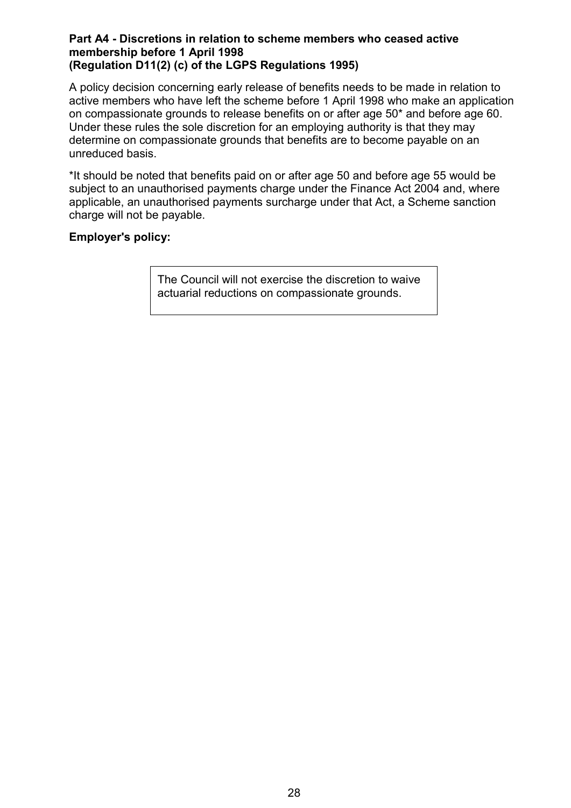#### **Part A4 - Discretions in relation to scheme members who ceased active membership before 1 April 1998 (Regulation D11(2) (c) of the LGPS Regulations 1995)**

A policy decision concerning early release of benefits needs to be made in relation to active members who have left the scheme before 1 April 1998 who make an application on compassionate grounds to release benefits on or after age 50\* and before age 60. Under these rules the sole discretion for an employing authority is that they may determine on compassionate grounds that benefits are to become payable on an unreduced basis.

\*It should be noted that benefits paid on or after age 50 and before age 55 would be subject to an unauthorised payments charge under the Finance Act 2004 and, where applicable, an unauthorised payments surcharge under that Act, a Scheme sanction charge will not be payable.

### **Employer's policy:**

The Council will not exercise the discretion to waive actuarial reductions on compassionate grounds.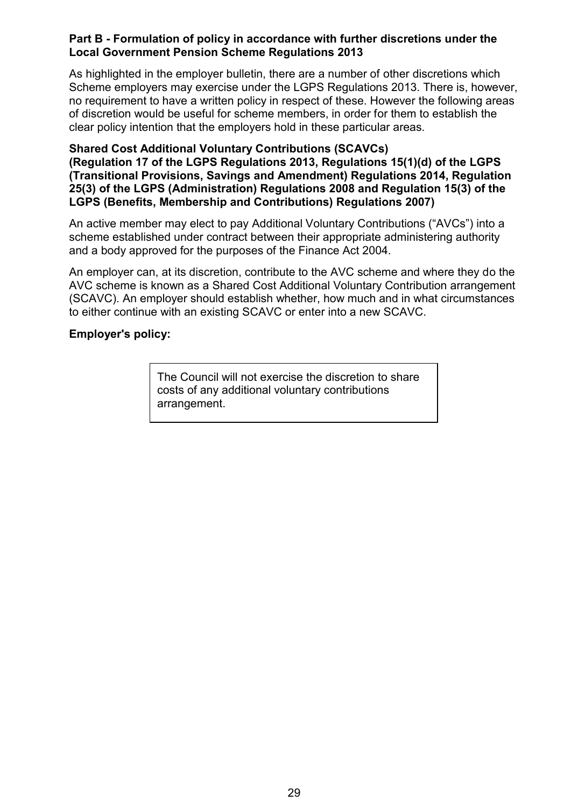#### **Part B - Formulation of policy in accordance with further discretions under the Local Government Pension Scheme Regulations 2013**

As highlighted in the employer bulletin, there are a number of other discretions which Scheme employers may exercise under the LGPS Regulations 2013. There is, however, no requirement to have a written policy in respect of these. However the following areas of discretion would be useful for scheme members, in order for them to establish the clear policy intention that the employers hold in these particular areas.

#### **Shared Cost Additional Voluntary Contributions (SCAVCs) (Regulation 17 of the LGPS Regulations 2013, Regulations 15(1)(d) of the LGPS (Transitional Provisions, Savings and Amendment) Regulations 2014, Regulation 25(3) of the LGPS (Administration) Regulations 2008 and Regulation 15(3) of the LGPS (Benefits, Membership and Contributions) Regulations 2007)**

An active member may elect to pay Additional Voluntary Contributions ("AVCs") into a scheme established under contract between their appropriate administering authority and a body approved for the purposes of the Finance Act 2004.

An employer can, at its discretion, contribute to the AVC scheme and where they do the AVC scheme is known as a Shared Cost Additional Voluntary Contribution arrangement (SCAVC). An employer should establish whether, how much and in what circumstances to either continue with an existing SCAVC or enter into a new SCAVC.

### **Employer's policy:**

The Council will not exercise the discretion to share costs of any additional voluntary contributions arrangement.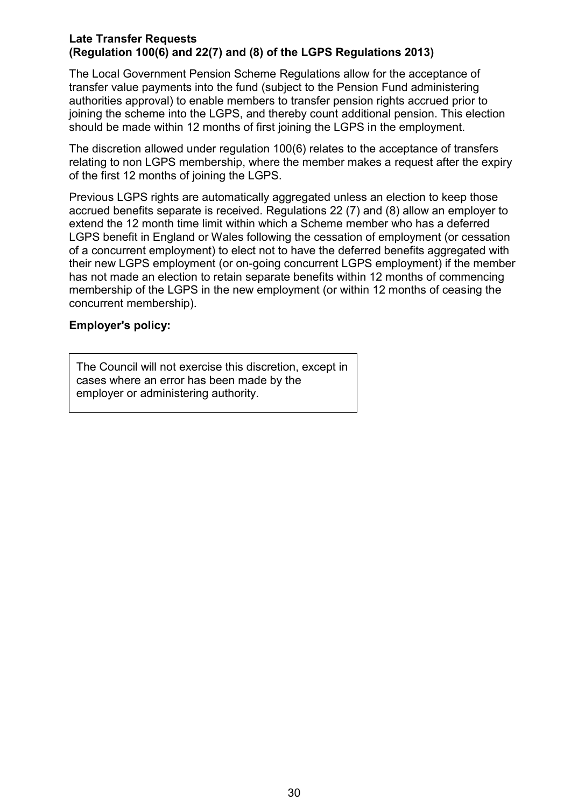#### **Late Transfer Requests (Regulation 100(6) and 22(7) and (8) of the LGPS Regulations 2013)**

The Local Government Pension Scheme Regulations allow for the acceptance of transfer value payments into the fund (subject to the Pension Fund administering authorities approval) to enable members to transfer pension rights accrued prior to joining the scheme into the LGPS, and thereby count additional pension. This election should be made within 12 months of first joining the LGPS in the employment.

The discretion allowed under regulation 100(6) relates to the acceptance of transfers relating to non LGPS membership, where the member makes a request after the expiry of the first 12 months of joining the LGPS.

Previous LGPS rights are automatically aggregated unless an election to keep those accrued benefits separate is received. Regulations 22 (7) and (8) allow an employer to extend the 12 month time limit within which a Scheme member who has a deferred LGPS benefit in England or Wales following the cessation of employment (or cessation of a concurrent employment) to elect not to have the deferred benefits aggregated with their new LGPS employment (or on-going concurrent LGPS employment) if the member has not made an election to retain separate benefits within 12 months of commencing membership of the LGPS in the new employment (or within 12 months of ceasing the concurrent membership).

### **Employer's policy:**

The Council will not exercise this discretion, except in cases where an error has been made by the employer or administering authority.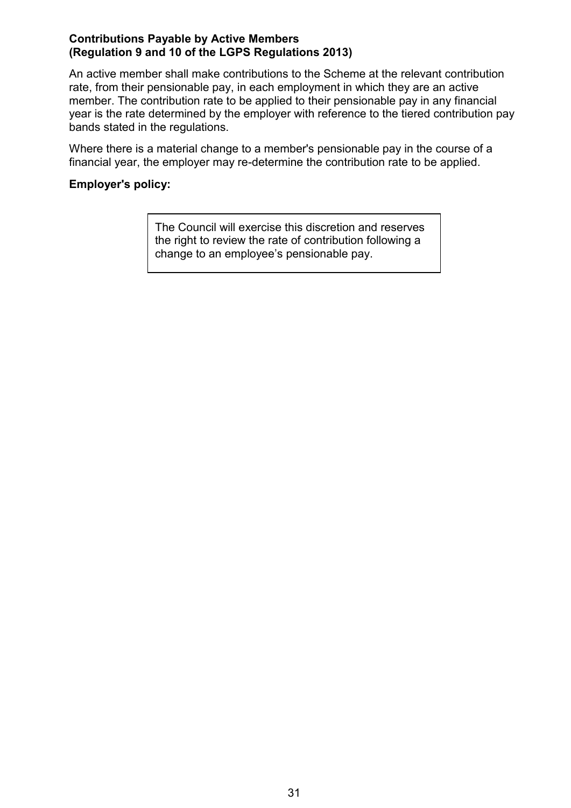#### **Contributions Payable by Active Members (Regulation 9 and 10 of the LGPS Regulations 2013)**

An active member shall make contributions to the Scheme at the relevant contribution rate, from their pensionable pay, in each employment in which they are an active member. The contribution rate to be applied to their pensionable pay in any financial year is the rate determined by the employer with reference to the tiered contribution pay bands stated in the regulations.

Where there is a material change to a member's pensionable pay in the course of a financial year, the employer may re-determine the contribution rate to be applied.

### **Employer's policy:**

The Council will exercise this discretion and reserves the right to review the rate of contribution following a change to an employee's pensionable pay.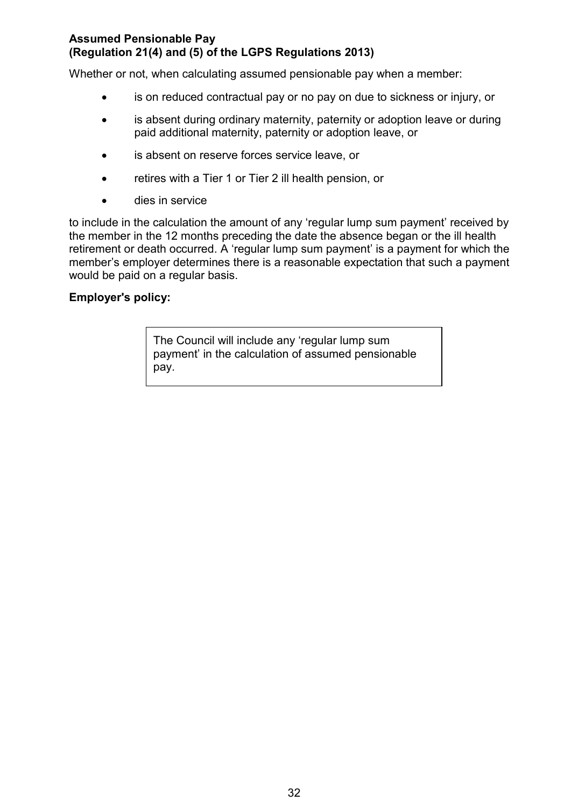### **Assumed Pensionable Pay (Regulation 21(4) and (5) of the LGPS Regulations 2013)**

Whether or not, when calculating assumed pensionable pay when a member:

- is on reduced contractual pay or no pay on due to sickness or injury, or
- is absent during ordinary maternity, paternity or adoption leave or during paid additional maternity, paternity or adoption leave, or
- is absent on reserve forces service leave, or
- retires with a Tier 1 or Tier 2 ill health pension, or
- **dies in service**

to include in the calculation the amount of any 'regular lump sum payment' received by the member in the 12 months preceding the date the absence began or the ill health retirement or death occurred. A 'regular lump sum payment' is a payment for which the member's employer determines there is a reasonable expectation that such a payment would be paid on a regular basis.

### **Employer's policy:**

The Council will include any 'regular lump sum payment' in the calculation of assumed pensionable pay.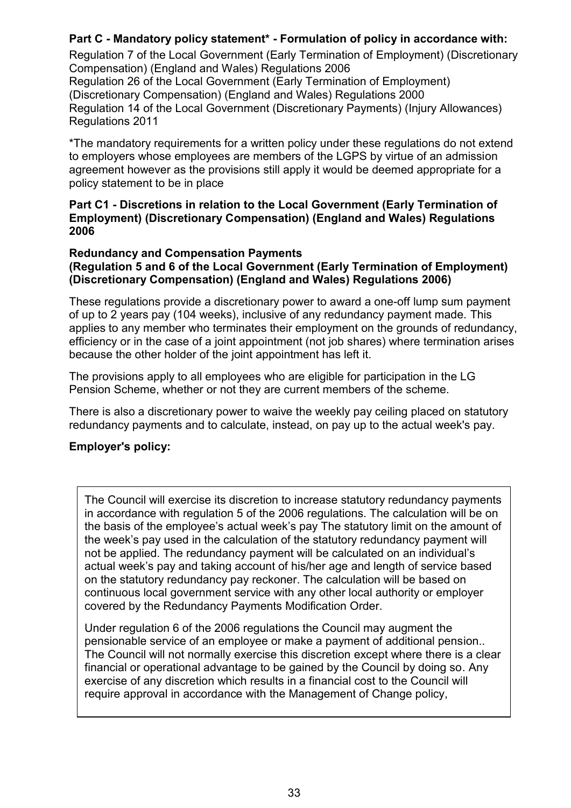### **Part C - Mandatory policy statement\* - Formulation of policy in accordance with:**

Regulation 7 of the Local Government (Early Termination of Employment) (Discretionary Compensation) (England and Wales) Regulations 2006

Regulation 26 of the Local Government (Early Termination of Employment) (Discretionary Compensation) (England and Wales) Regulations 2000 Regulation 14 of the Local Government (Discretionary Payments) (Injury Allowances) Regulations 2011

\*The mandatory requirements for a written policy under these regulations do not extend to employers whose employees are members of the LGPS by virtue of an admission agreement however as the provisions still apply it would be deemed appropriate for a policy statement to be in place

#### **Part C1 - Discretions in relation to the Local Government (Early Termination of Employment) (Discretionary Compensation) (England and Wales) Regulations 2006**

#### **Redundancy and Compensation Payments (Regulation 5 and 6 of the Local Government (Early Termination of Employment) (Discretionary Compensation) (England and Wales) Regulations 2006)**

These regulations provide a discretionary power to award a one-off lump sum payment of up to 2 years pay (104 weeks), inclusive of any redundancy payment made. This applies to any member who terminates their employment on the grounds of redundancy, efficiency or in the case of a joint appointment (not job shares) where termination arises because the other holder of the joint appointment has left it.

The provisions apply to all employees who are eligible for participation in the LG Pension Scheme, whether or not they are current members of the scheme.

There is also a discretionary power to waive the weekly pay ceiling placed on statutory redundancy payments and to calculate, instead, on pay up to the actual week's pay.

### **Employer's policy:**

The Council will exercise its discretion to increase statutory redundancy payments in accordance with regulation 5 of the 2006 regulations. The calculation will be on the basis of the employee's actual week's pay The statutory limit on the amount of the week's pay used in the calculation of the statutory redundancy payment will not be applied. The redundancy payment will be calculated on an individual's actual week's pay and taking account of his/her age and length of service based on the statutory redundancy pay reckoner. The calculation will be based on continuous local government service with any other local authority or employer covered by the Redundancy Payments Modification Order.

Under regulation 6 of the 2006 regulations the Council may augment the pensionable service of an employee or make a payment of additional pension.. The Council will not normally exercise this discretion except where there is a clear financial or operational advantage to be gained by the Council by doing so. Any exercise of any discretion which results in a financial cost to the Council will require approval in accordance with the Management of Change policy,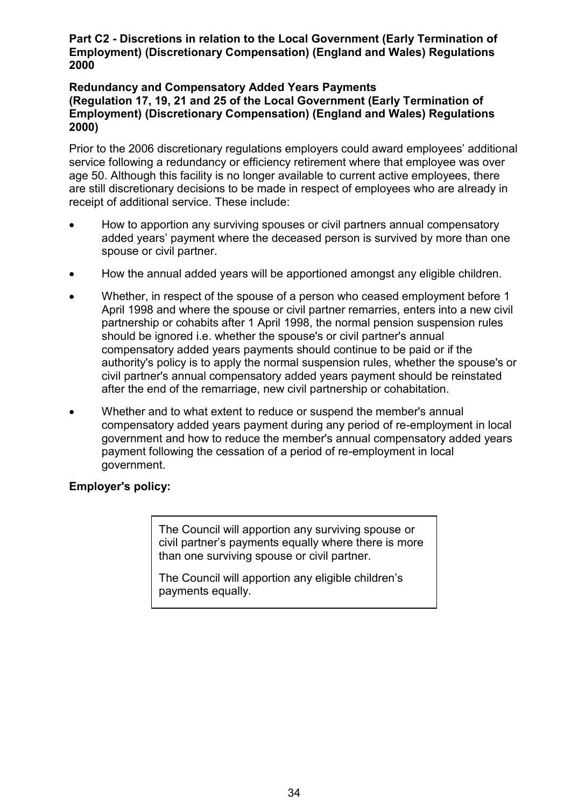#### **Part C2 - Discretions in relation to the Local Government (Early Termination of Employment) (Discretionary Compensation) (England and Wales) Regulations 2000**

#### **Redundancy and Compensatory Added Years Payments (Regulation 17, 19, 21 and 25 of the Local Government (Early Termination of Employment) (Discretionary Compensation) (England and Wales) Regulations 2000)**

Prior to the 2006 discretionary regulations employers could award employees' additional service following a redundancy or efficiency retirement where that employee was over age 50. Although this facility is no longer available to current active employees, there are still discretionary decisions to be made in respect of employees who are already in receipt of additional service. These include:

- How to apportion any surviving spouses or civil partners annual compensatory added years' payment where the deceased person is survived by more than one spouse or civil partner.
- How the annual added years will be apportioned amongst any eligible children.
- Whether, in respect of the spouse of a person who ceased employment before 1 April 1998 and where the spouse or civil partner remarries, enters into a new civil partnership or cohabits after 1 April 1998, the normal pension suspension rules should be ignored i.e. whether the spouse's or civil partner's annual compensatory added years payments should continue to be paid or if the authority's policy is to apply the normal suspension rules, whether the spouse's or civil partner's annual compensatory added years payment should be reinstated after the end of the remarriage, new civil partnership or cohabitation.
- Whether and to what extent to reduce or suspend the member's annual compensatory added years payment during any period of re-employment in local government and how to reduce the member's annual compensatory added years payment following the cessation of a period of re-employment in local government.

### **Employer's policy:**

The Council will apportion any surviving spouse or civil partner's payments equally where there is more than one surviving spouse or civil partner.

The Council will apportion any eligible children's payments equally.

The Council will continue to pay the Council will continue to pay the Council will continue to pay the Compensatory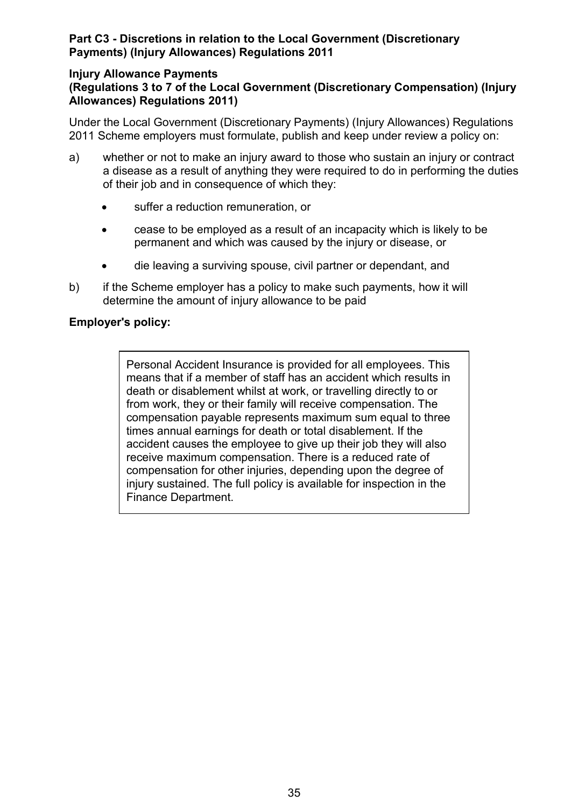### **Part C3 - Discretions in relation to the Local Government (Discretionary Payments) (Injury Allowances) Regulations 2011**

#### **Injury Allowance Payments (Regulations 3 to 7 of the Local Government (Discretionary Compensation) (Injury Allowances) Regulations 2011)**

Under the Local Government (Discretionary Payments) (Injury Allowances) Regulations 2011 Scheme employers must formulate, publish and keep under review a policy on:

- a) whether or not to make an injury award to those who sustain an injury or contract a disease as a result of anything they were required to do in performing the duties of their job and in consequence of which they:
	- suffer a reduction remuneration, or
	- cease to be employed as a result of an incapacity which is likely to be permanent and which was caused by the injury or disease, or
	- die leaving a surviving spouse, civil partner or dependant, and
- b) if the Scheme employer has a policy to make such payments, how it will determine the amount of injury allowance to be paid

### **Employer's policy:**

Personal Accident Insurance is provided for all employees. This means that if a member of staff has an accident which results in death or disablement whilst at work, or travelling directly to or from work, they or their family will receive compensation. The compensation payable represents maximum sum equal to three times annual earnings for death or total disablement. If the accident causes the employee to give up their job they will also receive maximum compensation. There is a reduced rate of compensation for other injuries, depending upon the degree of injury sustained. The full policy is available for inspection in the Finance Department.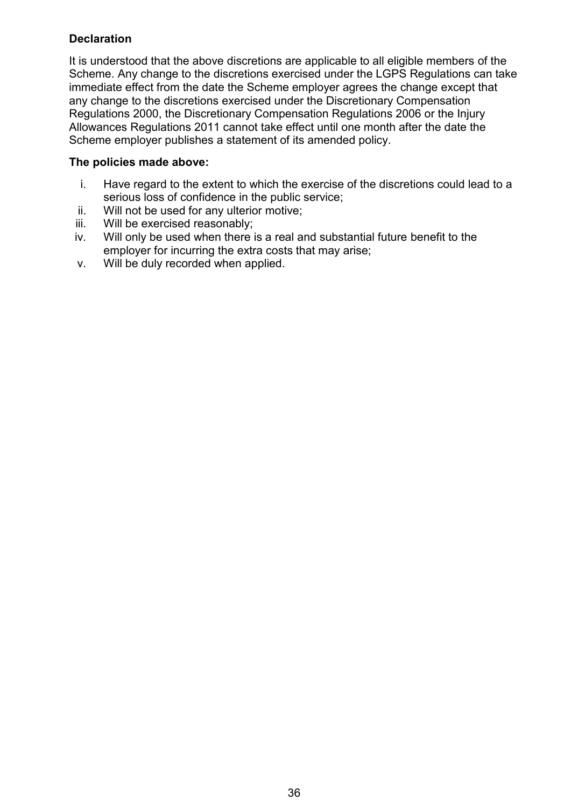### **Declaration**

It is understood that the above discretions are applicable to all eligible members of the Scheme. Any change to the discretions exercised under the LGPS Regulations can take immediate effect from the date the Scheme employer agrees the change except that any change to the discretions exercised under the Discretionary Compensation Regulations 2000, the Discretionary Compensation Regulations 2006 or the Injury Allowances Regulations 2011 cannot take effect until one month after the date the Scheme employer publishes a statement of its amended policy.

### **The policies made above:**

- i. Have regard to the extent to which the exercise of the discretions could lead to a serious loss of confidence in the public service;
- ii. Will not be used for any ulterior motive;
- iii. Will be exercised reasonably;
- iv. Will only be used when there is a real and substantial future benefit to the employer for incurring the extra costs that may arise;
- v. Will be duly recorded when applied.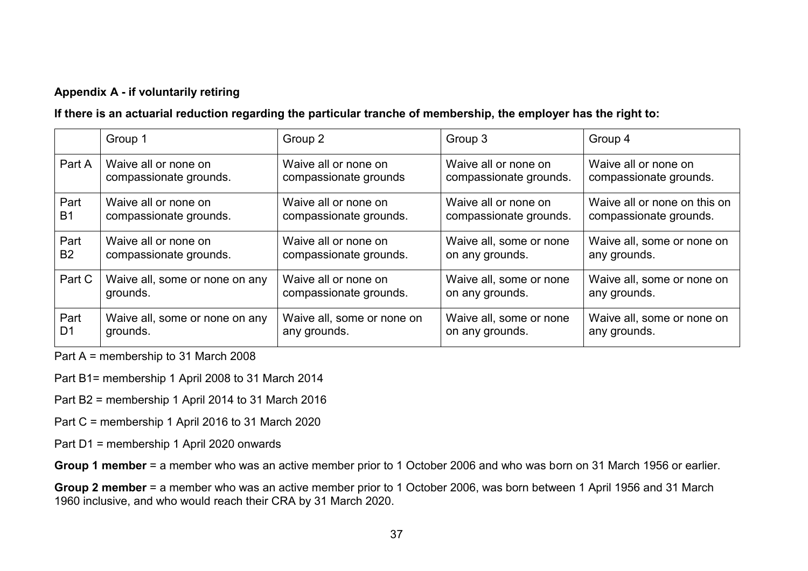### **Appendix A - if voluntarily retiring**

### **If there is an actuarial reduction regarding the particular tranche of membership, the employer has the right to:**

|                | Group 1                        | Group 2                    | Group 3                 | Group 4                      |
|----------------|--------------------------------|----------------------------|-------------------------|------------------------------|
| Part A         | Waive all or none on           | Waive all or none on       | Waive all or none on    | Waive all or none on         |
|                | compassionate grounds.         | compassionate grounds      | compassionate grounds.  | compassionate grounds.       |
| Part           | Waive all or none on           | Waive all or none on       | Waive all or none on    | Waive all or none on this on |
| <b>B1</b>      | compassionate grounds.         | compassionate grounds.     | compassionate grounds.  | compassionate grounds.       |
| Part           | Waive all or none on           | Waive all or none on       | Waive all, some or none | Waive all, some or none on   |
| B <sub>2</sub> | compassionate grounds.         | compassionate grounds.     | on any grounds.         | any grounds.                 |
| Part C         | Waive all, some or none on any | Waive all or none on       | Waive all, some or none | Waive all, some or none on   |
|                | grounds.                       | compassionate grounds.     | on any grounds.         | any grounds.                 |
| Part           | Waive all, some or none on any | Waive all, some or none on | Waive all, some or none | Waive all, some or none on   |
| D <sub>1</sub> | grounds.                       | any grounds.               | on any grounds.         | any grounds.                 |

Part A = membership to 31 March 2008

Part B1= membership 1 April 2008 to 31 March 2014

- Part B2 = membership 1 April 2014 to 31 March 2016
- Part C = membership 1 April 2016 to 31 March 2020
- Part D1 = membership 1 April 2020 onwards

**Group 1 member** = a member who was an active member prior to 1 October 2006 and who was born on 31 March 1956 or earlier.

**Group 2 member** = a member who was an active member prior to 1 October 2006, was born between 1 April 1956 and 31 March 1960 inclusive, and who would reach their CRA by 31 March 2020.